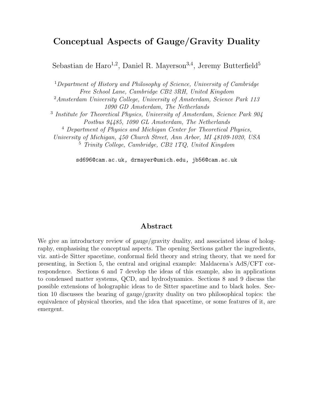# Conceptual Aspects of Gauge/Gravity Duality

Sebastian de Haro<sup>1,2</sup>, Daniel R. Mayerson<sup>3,4</sup>, Jeremy Butterfield<sup>5</sup>

<sup>1</sup>Department of History and Philosophy of Science, University of Cambridge Free School Lane, Cambridge CB2 3RH, United Kingdom <sup>2</sup>Amsterdam University College, University of Amsterdam, Science Park 113 1090 GD Amsterdam, The Netherlands <sup>3</sup> Institute for Theoretical Physics, University of Amsterdam, Science Park 904 Postbus 94485, 1090 GL Amsterdam, The Netherlands  $4$  Department of Physics and Michigan Center for Theoretical Physics, University of Michigan, 450 Church Street, Ann Arbor, MI 48109-1020, USA <sup>5</sup> Trinity College, Cambridge, CB2 1TQ, United Kingdom

sd696@cam.ac.uk, drmayer@umich.edu, jb56@cam.ac.uk

#### Abstract

We give an introductory review of gauge/gravity duality, and associated ideas of holography, emphasising the conceptual aspects. The opening Sections gather the ingredients, viz. anti-de Sitter spacetime, conformal field theory and string theory, that we need for presenting, in Section 5, the central and original example: Maldacena's AdS/CFT correspondence. Sections 6 and 7 develop the ideas of this example, also in applications to condensed matter systems, QCD, and hydrodynamics. Sections 8 and 9 discuss the possible extensions of holographic ideas to de Sitter spacetime and to black holes. Section 10 discusses the bearing of gauge/gravity duality on two philosophical topics: the equivalence of physical theories, and the idea that spacetime, or some features of it, are emergent.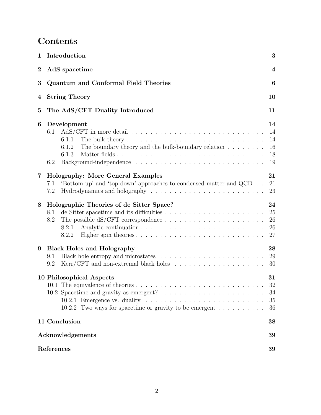# Contents

| 1                | Introduction                                                                                                                                                                                                                       | 3                                |
|------------------|------------------------------------------------------------------------------------------------------------------------------------------------------------------------------------------------------------------------------------|----------------------------------|
| $\overline{2}$   | AdS spacetime                                                                                                                                                                                                                      | $\boldsymbol{4}$                 |
| 3                | <b>Quantum and Conformal Field Theories</b>                                                                                                                                                                                        | 6                                |
| 4                | <b>String Theory</b>                                                                                                                                                                                                               | 10                               |
| 5                | The AdS/CFT Duality Introduced                                                                                                                                                                                                     | 11                               |
| 6                | Development<br>6.1<br>6.1.1<br>The boundary theory and the bulk-boundary relation $\ldots \ldots \ldots$<br>6.1.2<br>Matter fields<br>6.1.3<br>6.2                                                                                 | 14<br>14<br>14<br>16<br>18<br>19 |
| $\overline{7}$   | <b>Holography: More General Examples</b><br>'Bottom-up' and 'top-down' approaches to condensed matter and $\rm QCD$<br>7.1<br>7.2                                                                                                  | 21<br>21<br>23                   |
| 8                | Holographic Theories of de Sitter Space?<br>8.1<br>8.2<br>8.2.1<br>8.2.2                                                                                                                                                           | 24<br>25<br>26<br>26<br>27       |
| 9                | <b>Black Holes and Holography</b><br>Black hole entropy and microstates $\dots \dots \dots \dots \dots \dots \dots \dots \dots$<br>9.1<br>Kerr/CFT and non-extremal black holes $\dots \dots \dots \dots \dots \dots \dots$<br>9.2 | 28<br>29<br>30                   |
|                  | <b>10 Philosophical Aspects</b><br>10.2.2 Two ways for spacetime or gravity to be emergent $\dots \dots \dots$                                                                                                                     | 31<br>32<br>34<br>$35\,$<br>36   |
|                  | 11 Conclusion                                                                                                                                                                                                                      | 38                               |
| Acknowledgements |                                                                                                                                                                                                                                    | 39                               |
|                  | References                                                                                                                                                                                                                         |                                  |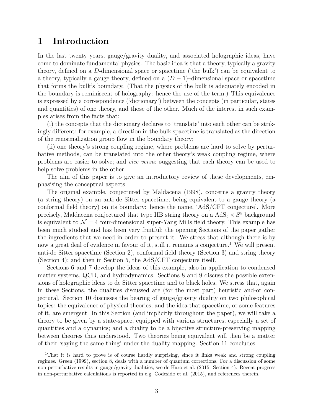### 1 Introduction

In the last twenty years, gauge/gravity duality, and associated holographic ideas, have come to dominate fundamental physics. The basic idea is that a theory, typically a gravity theory, defined on a D-dimensional space or spacetime ('the bulk') can be equivalent to a theory, typically a gauge theory, defined on a  $(D-1)$ –dimensional space or spacetime that forms the bulk's boundary. (That the physics of the bulk is adequately encoded in the boundary is reminiscent of holography: hence the use of the term.) This equivalence is expressed by a correspondence ('dictionary') between the concepts (in particular, states and quantities) of one theory, and those of the other. Much of the interest in such examples arises from the facts that:

(i) the concepts that the dictionary declares to 'translate' into each other can be strikingly different: for example, a direction in the bulk spacetime is translated as the direction of the renormalization group flow in the boundary theory;

(ii) one theory's strong coupling regime, where problems are hard to solve by perturbative methods, can be translated into the other theory's weak coupling regime, where problems are easier to solve; and vice versa: suggesting that each theory can be used to help solve problems in the other.

The aim of this paper is to give an introductory review of these developments, emphasising the conceptual aspects.

The original example, conjectured by Maldacena (1998), concerns a gravity theory (a string theory) on an anti-de Sitter spacetime, being equivalent to a gauge theory (a conformal field theory) on its boundary: hence the name, 'AdS/CFT conjecture'. More precisely, Maldacena conjectured that type IIB string theory on a  $AdS_5 \times S^5$  background is equivalent to  $\mathcal{N} = 4$  four-dimensional super-Yang Mills field theory. This example has been much studied and has been very fruitful; the opening Sections of the paper gather the ingredients that we need in order to present it. We stress that although there is by now a great deal of evidence in favour of it, still it remains a conjecture.<sup>1</sup> We will present anti-de Sitter spacetime (Section 2), conformal field theory (Section 3) and string theory (Section 4); and then in Section 5, the AdS/CFT conjecture itself.

Sections 6 and 7 develop the ideas of this example, also in application to condensed matter systems, QCD, and hydrodynamics. Sections 8 and 9 discuss the possible extensions of holographic ideas to de Sitter spacetime and to black holes. We stress that, again in these Sections, the dualities discussed are (for the most part) heuristic and-or conjectural. Section 10 discusses the bearing of gauge/gravity duality on two philosophical topics: the equivalence of physical theories, and the idea that spacetime, or some features of it, are emergent. In this Section (and implicitly throughout the paper), we will take a theory to be given by a state-space, equipped with various structures, especially a set of quantities and a dynamics; and a duality to be a bijective structure-preserving mapping between theories thus understood. Two theories being equivalent will then be a matter of their 'saying the same thing' under the duality mapping. Section 11 concludes.

<sup>1</sup>That it is hard to prove is of course hardly surprising, since it links weak and strong coupling regimes. Green (1999), section 8, deals with a number of quantum corrections. For a discussion of some non-perturbative results in gauge/gravity dualities, see de Haro et al. (2015: Section 4). Recent progress in non-perturbative calculations is reported in e.g. Codesido et al. (2015), and references therein.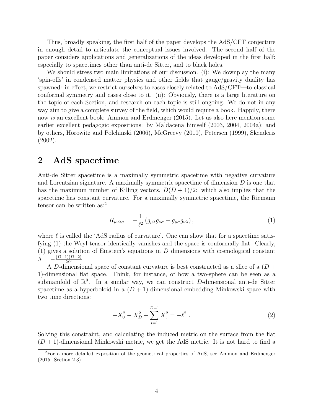Thus, broadly speaking, the first half of the paper develops the AdS/CFT conjecture in enough detail to articulate the conceptual issues involved. The second half of the paper considers applications and generalizations of the ideas developed in the first half: especially to spacetimes other than anti-de Sitter, and to black holes.

We should stress two main limitations of our discussion. (i): We downplay the many 'spin-offs' in condensed matter physics and other fields that gauge/gravity duality has spawned: in effect, we restrict ourselves to cases closely related to AdS/CFT—to classical conformal symmetry and cases close to it. (ii): Obviously, there is a large literature on the topic of each Section, and research on each topic is still ongoing. We do not in any way aim to give a complete survey of the field, which would require a book. Happily, there now is an excellent book: Ammon and Erdmenger (2015). Let us also here mention some earlier excellent pedagogic expositions: by Maldacena himself (2003, 2004, 2004a); and by others, Horowitz and Polchinski (2006), McGreevy (2010), Petersen (1999), Skenderis (2002).

### 2 AdS spacetime

Anti-de Sitter spacetime is a maximally symmetric spacetime with negative curvature and Lorentzian signature. A maximally symmetric spacetime of dimension  $D$  is one that has the maximum number of Killing vectors,  $D(D+1)/2$ : which also implies that the spacetime has constant curvature. For a maximally symmetric spacetime, the Riemann tensor can be written as:<sup>2</sup>

$$
R_{\mu\nu\lambda\sigma} = -\frac{1}{\ell^2} \left( g_{\mu\lambda} g_{\nu\sigma} - g_{\mu\sigma} g_{\nu\lambda} \right), \tag{1}
$$

where  $\ell$  is called the 'AdS radius of curvature'. One can show that for a spacetime satisfying (1) the Weyl tensor identically vanishes and the space is conformally flat. Clearly, (1) gives a solution of Einstein's equations in  $D$  dimensions with cosmological constant  $\Lambda = -\frac{(D-1)(D-2)}{2\ell^2}$  $\frac{1(10-2)}{2\ell^2}$ .

A D-dimensional space of constant curvature is best constructed as a slice of a  $(D +$ 1)-dimensional flat space. Think, for instance, of how a two-sphere can be seen as a submanifold of  $\mathbb{R}^3$ . In a similar way, we can construct D-dimensional anti-de Sitter spacetime as a hyperboloid in a  $(D + 1)$ -dimensional embedding Minkowski space with two time directions:

$$
-X_0^2 - X_D^2 + \sum_{i=1}^{D-1} X_i^2 = -\ell^2 \ . \tag{2}
$$

Solving this constraint, and calculating the induced metric on the surface from the flat  $(D+1)$ -dimensional Minkowski metric, we get the AdS metric. It is not hard to find a

<sup>2</sup>For a more detailed exposition of the geometrical properties of AdS, see Ammon and Erdmenger (2015: Section 2.3).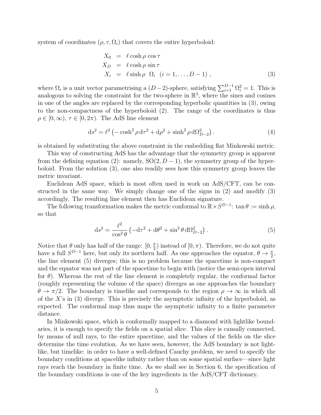system of coordinates  $(\rho, \tau, \Omega_i)$  that covers the entire hyperboloid:

$$
X_0 = \ell \cosh \rho \cos \tau
$$
  
\n
$$
X_D = \ell \cosh \rho \sin \tau
$$
  
\n
$$
X_i = \ell \sinh \rho \Omega_i \quad (i = 1, ..., D - 1),
$$
\n(3)

where  $\Omega_i$  is a unit vector parametrising a  $(D-2)$ -sphere, satisfying  $\sum_{i=1}^{D-1} \Omega_i^2 = 1$ . This is analogous to solving the constraint for the two-sphere in  $\mathbb{R}^3$ , where the sines and cosines in one of the angles are replaced by the corresponding hyperbolic quantities in (3), owing to the non-compactness of the hyperboloid (2). The range of the coordinates is thus  $\rho \in [0,\infty)$ ,  $\tau \in [0,2\pi)$ . The AdS line element

$$
ds2 = l2 \left( -\cosh2 \rho d\tau2 + d\rho2 + \sinh2 \rho d\Omega2D-2 \right).
$$
 (4)

is obtained by substituting the above constraint in the embedding flat Minkowski metric.

This way of constructing AdS has the advantage that the symmetry group is apparent from the defining equation (2): namely,  $SO(2, D-1)$ , the symmetry group of the hyperboloid. From the solution (3), one also readily sees how this symmetry group leaves the metric invariant.

Euclidean AdS space, which is most often used in work on AdS/CFT, can be constructed in the same way. We simply change one of the signs in (2) and modify (3) accordingly. The resulting line element then has Euclidean signature.

The following transformation makes the metric conformal to  $\mathbb{R} \times S^{D-1}$ :  $\tan \theta := \sinh \rho$ , so that

$$
ds^{2} = \frac{\ell^{2}}{\cos^{2} \theta} \left( -d\tau^{2} + d\theta^{2} + \sin^{2} \theta \, d\Omega_{D-2}^{2} \right). \tag{5}
$$

Notice that  $\theta$  only has half of the range:  $[0, \frac{\pi}{2}]$  $\frac{\pi}{2}$ ) instead of  $[0, \pi)$ . Therefore, we do not quite have a full  $S^{D-1}$  here, but only its northern half. As one approaches the equator,  $\theta \to \frac{\pi}{2}$ , the line element (5) diverges; this is no problem because the spacetime is non-compact and the equator was not part of the spacetime to begin with (notice the semi-open interval for  $\theta$ ). Whereas the rest of the line element is completely regular, the conformal factor (roughly representing the volume of the space) diverges as one approaches the boundary  $\theta \to \pi/2$ . The boundary is timelike and corresponds to the region  $\rho \to \infty$  in which all of the  $X$ 's in  $(3)$  diverge. This is precisely the asymptotic infinity of the hyperboloid, as expected. The conformal map thus maps the asymptotic infinity to a finite parameter distance.

In Minkowski space, which is conformally mapped to a diamond with lightlike boundaries, it is enough to specify the fields on a spatial slice. This slice is causally connected, by means of null rays, to the entire spacetime, and the values of the fields on the slice determine the time evolution. As we have seen, however, the AdS boundary is not lightlike, but timelike: in order to have a well-defined Cauchy problem, we need to specify the boundary conditions at spacelike infinity rather than on some spatial surface—since light rays reach the boundary in finite time. As we shall see in Section 6, the specification of the boundary conditions is one of the key ingredients in the AdS/CFT dictionary.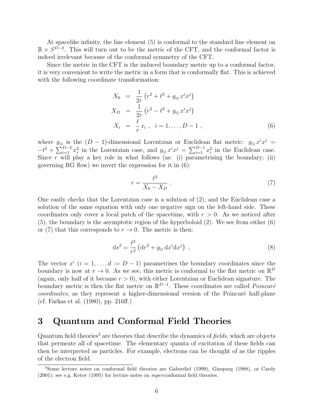At spacelike infinity, the line element (5) is conformal to the standard line element on  $\mathbb{R} \times S^{D-2}$ . This will turn out to be the metric of the CFT, and the conformal factor is indeed irrelevant because of the conformal symmetry of the CFT.

Since the metric in the CFT is the induced boundary metric up to a conformal factor, it is very convenient to write the metric in a form that is conformally flat. This is achieved with the following coordinate transformation:

$$
X_0 = \frac{1}{2r} (r^2 + \ell^2 + g_{ij} x^i x^j)
$$
  
\n
$$
X_D = \frac{1}{2r} (r^2 - \ell^2 + g_{ij} x^i x^j)
$$
  
\n
$$
X_i = \frac{\ell}{r} x_i, \quad i = 1, ..., D - 1,
$$
\n(6)

where  $g_{ij}$  is the  $(D-1)$ -dimensional Lorentzian or Euclidean flat metric:  $g_{ij} x^i x^j =$  $-t^2 + \sum_{i=1}^{D-2} x_i^2$  in the Lorentzian case, and  $g_{ij} x^i x^j = \sum_{i=1}^{D-1} x_i^2$  in the Euclidean case. Since  $\overline{r}$  will play a key role in what follows (as: (i) parametrising the boundary; (ii) governing RG flow) we invert the expression for it in (6):

$$
r = \frac{\ell^2}{X_0 - X_D} \tag{7}
$$

One easily checks that the Lorentzian case is a solution of (2), and the Euclidean case a solution of the same equation with only one negative sign on the left-hand side. These coordinates only cover a local patch of the spacetime, with  $r > 0$ . As we noticed after (5), the boundary is the asymptotic region of the hyperboloid (2). We see from either (6) or (7) that this corresponds to  $r \to 0$ . The metric is then:

$$
ds^{2} = \frac{\ell^{2}}{r^{2}} \left( dr^{2} + g_{ij} dx^{i} dx^{j} \right) , \qquad (8)
$$

The vector  $x^i$   $(i = 1, ..., d := D - 1)$  parametrises the boundary coordinates since the boundary is now at  $r \to 0$ . As we see, this metric is conformal to the flat metric on  $\mathbb{R}^D$ (again, only half of it because  $r > 0$ ), with either Lorentzian or Euclidean signature. The boundary metric is then the flat metric on  $\mathbb{R}^{D-1}$ . These coordinates are called *Poincaré* coordinates, as they represent a higher-dimensional version of the Poincaré half-plane (cf. Farkas et al. (1980), pp. 216ff.)

### 3 Quantum and Conformal Field Theories

Quantum field theories<sup>3</sup> are theories that describe the dynamics of *fields*, which are objects that permeate all of spacetime. The elementary quanta of excitation of these fields can then be interpreted as particles. For example, electrons can be thought of as the ripples of the electron field.

<sup>3</sup>Some lecture notes on conformal field theories are Gaberdiel (1999), Ginsparg (1988), or Cardy (2001); see e.g. Ketov (1995) for lecture notes on superconformal field theories.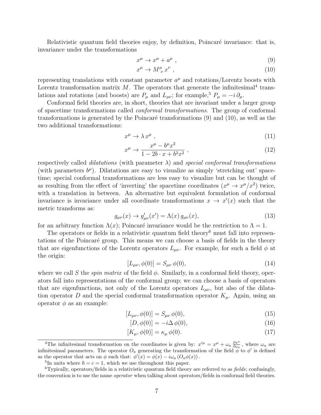Relativistic quantum field theories enjoy, by definition, Poincaré invariance: that is, invariance under the transformations

$$
x^{\mu} \to x^{\mu} + a^{\mu} \tag{9}
$$

$$
x^{\mu} \to M^{\mu}_{\ \nu} x^{\nu} \ , \tag{10}
$$

representing translations with constant parameter  $a^{\mu}$  and rotations/Lorentz boosts with Lorentz transformation matrix  $M$ . The operators that generate the infinitesimal<sup>4</sup> translations and rotations (and boosts) are  $P_{\mu}$  and  $L_{\mu\nu}$ ; for example,<sup>5</sup>  $P_{\mu} = -i \partial_{\mu}$ .

Conformal field theories are, in short, theories that are invariant under a larger group of spacetime transformations called conformal transformations. The group of conformal transformations is generated by the Poincaré transformations  $(9)$  and  $(10)$ , as well as the two additional transformations:

$$
x^{\mu} \to \lambda x^{\mu} \tag{11}
$$

$$
x^{\mu} \to \frac{x^{\mu} - b^{\mu}x^2}{1 - 2b \cdot x + b^2x^2} \,, \tag{12}
$$

respectively called *dilatations* (with parameter  $\lambda$ ) and *special conformal transformations* (with parameters  $b^{\mu}$ ). Dilatations are easy to visualize as simply 'stretching out' spacetime; special conformal transformations are less easy to visualize but can be thought of as resulting from the effect of 'inverting' the spacetime coordinates  $(x^{\mu} \to x^{\mu}/x^2)$  twice, with a translation in between. An alternative but equivalent formulation of conformal invariance is invariance under all coordinate transformations  $x \to x'(x)$  such that the metric transforms as:

$$
g_{\mu\nu}(x) \to g'_{\mu\nu}(x') = \Lambda(x) g_{\mu\nu}(x), \qquad (13)
$$

for an arbitrary function  $\Lambda(x)$ ; Poincaré invariance would be the restriction to  $\Lambda = 1$ .

The operators or fields in a relativistic quantum field theory<sup>6</sup> must fall into representations of the Poincaré group. This means we can choose a basis of fields in the theory that are eigenfunctions of the Lorentz operators  $L_{\mu\nu}$ . For example, for such a field  $\phi$  at the origin:

$$
[L_{\mu\nu}, \phi(0)] = S_{\mu\nu} \phi(0), \tag{14}
$$

where we call S the *spin matrix* of the field  $\phi$ . Similarly, in a conformal field theory, operators fall into representations of the conformal group; we can choose a basis of operators that are eigenfunctions, not only of the Lorentz operators  $L_{\mu\nu}$ , but also of the dilatation operator D and the special conformal transformation operator  $K_{\mu}$ . Again, using an operator  $φ$  as an example:

$$
[L_{\mu\nu}, \phi(0)] = S_{\mu\nu} \phi(0), \tag{15}
$$

$$
[D, \phi(0)] = -i\Delta\phi(0),\tag{16}
$$

$$
[K_{\mu}, \phi(0)] = \kappa_{\mu} \phi(0). \tag{17}
$$

<sup>&</sup>lt;sup>4</sup>The infinitesimal transformation on the coordinates is given by:  $x'^{\mu} = x^{\mu} + \omega_a \frac{\partial x^{\mu}}{\partial \omega_a}$ , where  $\omega_a$  are infinitesimal parameters. The operator  $O_a$  generating the transformation of the field  $\phi^a$  to  $\phi'$  is defined as the operator that acts on  $\phi$  such that:  $\phi'(x) = \phi(x) - i\omega_a (O_a \phi(x))$ .

<sup>&</sup>lt;sup>5</sup>In units where  $\hbar = c = 1$ , which we use throughout this paper.

 $6$ Typically, operators/fields in a relativistic quantum field theory are referred to as *fields*; confusingly, the convention is to use the name *operator* when talking about operators/fields in conformal field theories.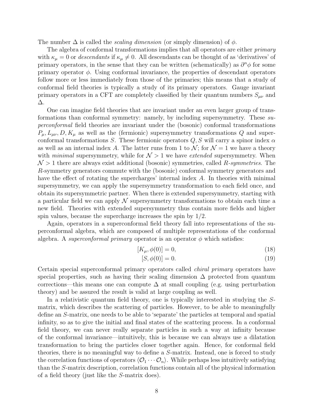The number  $\Delta$  is called the *scaling dimension* (or simply dimension) of  $\phi$ .

The algebra of conformal transformations implies that all operators are either *primary* with  $\kappa_{\mu} = 0$  or *descendants* if  $\kappa_{\mu} \neq 0$ . All descendants can be thought of as 'derivatives' of primary operators, in the sense that they can be written (schematically) as  $\partial^n \phi$  for some primary operator  $\phi$ . Using conformal invariance, the properties of descendant operators follow more or less immediately from those of the primaries; this means that a study of conformal field theories is typically a study of its primary operators. Gauge invariant primary operators in a CFT are completely classified by their quantum numbers  $S_{\mu\nu}$  and ∆.

One can imagine field theories that are invariant under an even larger group of transformations than conformal symmetry: namely, by including supersymmetry. These superconformal field theories are invariant under the (bosonic) conformal transformations  $P_{\mu}, L_{\mu\nu}, D, K_{\mu}$  as well as the (fermionic) supersymmetry transformations Q and superconformal transformations S. These fermionic operators  $Q, S$  will carry a spinor index  $\alpha$ as well as an internal index A. The latter runs from 1 to  $\mathcal{N}$ ; for  $\mathcal{N}=1$  we have a theory with *minimal* supersymmetry, while for  $\mathcal{N} > 1$  we have *extended* supersymmetry. When  $\mathcal{N} > 1$  there are always exist additional (bosonic) symmetries, called R-symmetries. The R-symmetry generators commute with the (bosonic) conformal symmetry generators and have the effect of rotating the supercharges' internal index A. In theories with minimal supersymmetry, we can apply the supersymmetry transformation to each field once, and obtain its supersymmetric partner. When there is extended supersymmetry, starting with a particular field we can apply  $N$  supersymmetry transformations to obtain each time a new field. Theories with extended supersymmetry thus contain more fields and higher spin values, because the supercharge increases the spin by 1/2.

Again, operators in a superconformal field theory fall into representations of the superconformal algebra, which are composed of multiple representations of the conformal algebra. A *superconformal primary* operator is an operator  $\phi$  which satisfies:

$$
[K_{\mu}, \phi(0)] = 0,\t(18)
$$

$$
[S, \phi(0)] = 0.
$$
 (19)

Certain special superconformal primary operators called chiral primary operators have special properties, such as having their scaling dimension  $\Delta$  protected from quantum corrections—this means one can compute  $\Delta$  at small coupling (e.g. using perturbation theory) and be assured the result is valid at large coupling as well.

In a relativistic quantum field theory, one is typically interested in studying the Smatrix, which describes the scattering of particles. However, to be able to meaningfully define an S-matrix, one needs to be able to 'separate' the particles at temporal and spatial infinity, so as to give the initial and final states of the scattering process. In a conformal field theory, we can never really separate particles in such a way at infinity because of the conformal invariance—intuitively, this is because we can always use a dilatation transformation to bring the particles closer together again. Hence, for conformal field theories, there is no meaningful way to define a S-matrix. Instead, one is forced to study the correlation functions of operators  $\langle \mathcal{O}_1 \cdots \mathcal{O}_n \rangle$ . While perhaps less intuitively satisfying than the S-matrix description, correlation functions contain all of the physical information of a field theory (just like the S-matrix does).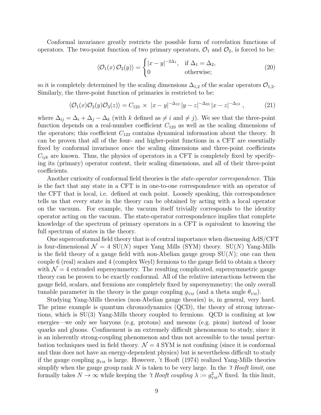Conformal invariance greatly restricts the possible form of correlation functions of operators. The two-point function of two primary operators,  $\mathcal{O}_1$  and  $\mathcal{O}_2$ , is forced to be:

$$
\langle \mathcal{O}_1(x) \mathcal{O}_2(y) \rangle = \begin{cases} |x - y|^{-2\Delta_1}, & \text{if } \Delta_1 = \Delta_2, \\ 0 & \text{otherwise}; \end{cases}
$$
 (20)

so it is completely determined by the scaling dimensions  $\Delta_{1,2}$  of the scalar operators  $\mathcal{O}_{1,2}$ . Similarly, the three-point function of primaries is restricted to be:

$$
\langle \mathcal{O}_1(x)\mathcal{O}_2(y)\mathcal{O}_3(z)\rangle = C_{123} \times |x-y|^{-\Delta_{12}} |y-z|^{-\Delta_{23}} |x-z|^{-\Delta_{13}}, \qquad (21)
$$

where  $\Delta_{ij} = \Delta_i + \Delta_j - \Delta_k$  (with k defined as  $\neq i$  and  $\neq j$ ). We see that the three-point function depends on a real-number coefficient  $C_{123}$  as well as the scaling dimensions of the operators; this coefficient  $C_{123}$  contains dynamical information about the theory. It can be proven that all of the four- and higher-point functions in a CFT are essentially fixed by conformal invariance once the scaling dimensions and three-point coefficients  $C_{ijk}$  are known. Thus, the physics of operators in a CFT is completely fixed by specifying its (primary) operator content, their scaling dimensions, and all of their three-point coefficients.

Another curiosity of conformal field theories is the *state-operator correspondence*. This is the fact that any state in a CFT is in one-to-one correspondence with an operator of the CFT that is local, i.e. defined at each point. Loosely speaking, this correspondence tells us that every state in the theory can be obtained by acting with a local operator on the vacuum. For example, the vacuum itself trivially corresponds to the identity operator acting on the vacuum. The state-operator correspondence implies that complete knowledge of the spectrum of primary operators in a CFT is equivalent to knowing the full spectrum of states in the theory.

One superconformal field theory that is of central importance when discussing AdS/CFT is four-dimensional  $\mathcal{N} = 4$  SU(N) super Yang Mills (SYM) theory. SU(N) Yang-Mills is the field theory of a gauge field with non-Abelian gauge group  $SU(N)$ ; one can then couple 6 (real) scalars and 4 (complex Weyl) fermions to the gauge field to obtain a theory with  $\mathcal{N} = 4$  extended supersymmetry. The resulting complicated, supersymmetric gauge theory can be proven to be exactly conformal. All of the relative interactions between the gauge field, scalars, and fermions are completely fixed by supersymmetry; the only overall tunable parameter in the theory is the gauge coupling  $g_{YM}$  (and a theta angle  $\theta_{YM}$ ).

Studying Yang-Mills theories (non-Abelian gauge theories) is, in general, very hard. The prime example is quantum chromodynamics (QCD), the theory of strong interactions, which is SU(3) Yang-Mills theory coupled to fermions. QCD is confining at low energies—we only see baryons (e.g. protons) and mesons (e.g. pions) instead of loose quarks and gluons. Confinement is an extremely difficult phenomenon to study, since it is an inherently strong-coupling phenomenon and thus not accessible to the usual perturbation techniques used in field theory.  $\mathcal{N} = 4$  SYM is not confining (since it is conformal and thus does not have an energy-dependent physics) but is nevertheless difficult to study if the gauge coupling  $g_{YM}$  is large. However, 't Hooft (1974) realized Yang-Mills theories simplify when the gauge group rank  $N$  is taken to be very large. In the 't Hooft limit, one formally takes  $N \to \infty$  while keeping the 't Hooft coupling  $\lambda := g_{YM}^2 N$  fixed. In this limit,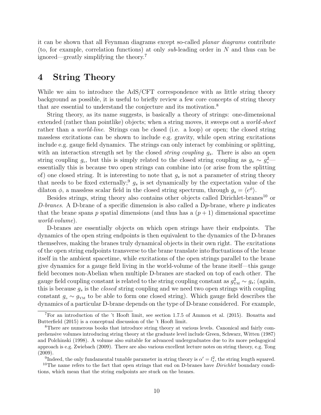it can be shown that all Feynman diagrams except so-called planar diagrams contribute (to, for example, correlation functions) at only sub-leading order in N and thus can be ignored—greatly simplifying the theory.<sup>7</sup>

### 4 String Theory

While we aim to introduce the AdS/CFT correspondence with as little string theory background as possible, it is useful to briefly review a few core concepts of string theory that are essential to understand the conjecture and its motivation.<sup>8</sup>

String theory, as its name suggests, is basically a theory of strings: one-dimensional extended (rather than pointlike) objects; when a string moves, it sweeps out a *world-sheet* rather than a *world-line*. Strings can be closed (i.e. a loop) or open; the closed string massless excitations can be shown to include e.g. gravity, while open string excitations include e.g. gauge field dynamics. The strings can only interact by combining or splitting, with an interaction strength set by the closed *string coupling*  $g_s$ . There is also an open string coupling g<sub>o</sub>, but this is simply related to the closed string coupling as  $g_s \sim g_s^2$  essentially this is because two open strings can combine into (or arise from the splitting of) one closed string. It is interesting to note that  $g_s$  is not a parameter of string theory that needs to be fixed externally;<sup>9</sup>  $g_s$  is set dynamically by the expectation value of the dilaton  $\phi$ , a massless scalar field in the closed string spectrum, through  $g_s = \langle e^{\phi} \rangle$ .

Besides strings, string theory also contains other objects called Dirichlet-branes<sup>10</sup> or D-branes. A D-brane of a specific dimension is also called a  $Dp$ -brane, where p indicates that the brane spans p spatial dimensions (and thus has a  $(p+1)$  dimensional spacetime world-volume).

D-branes are essentially objects on which open strings have their endpoints. The dynamics of the open string endpoints is then equivalent to the dynamics of the D-branes themselves, making the branes truly dynamical objects in their own right. The excitations of the open string endpoints transverse to the brane translate into fluctuations of the brane itself in the ambient spacetime, while excitations of the open strings parallel to the brane give dynamics for a gauge field living in the world-volume of the brane itself—this gauge field becomes non-Abelian when multiple D-branes are stacked on top of each other. The gauge field coupling constant is related to the string coupling constant as  $g_{\text{YM}}^2 \sim g_s$ ; (again, this is because  $g_s$  is the *closed* string coupling and we need two open strings with coupling constant  $g_{\rm o} \sim g_{\rm YM}$  to be able to form one closed string). Which gauge field describes the dynamics of a particular D-brane depends on the type of D-brane considered. For example,

<sup>9</sup>Indeed, the only fundamental tunable parameter in string theory is  $\alpha' = l_s^2$ , the string length squared.

<sup>7</sup>For an introduction of the 't Hooft limit, see section 1.7.5 of Ammon et al. (2015). Bouatta and Butterfield (2015) is a conceptual discussion of the 't Hooft limit.

<sup>&</sup>lt;sup>8</sup>There are numerous books that introduce string theory at various levels. Canonical and fairly comprehensive volumes introducing string theory at the graduate level include Green, Schwarz, Witten (1987) and Polchinski (1998). A volume also suitable for advanced undergraduates due to its more pedagogical approach is e.g. Zwiebach (2009). There are also various excellent lecture notes on string theory, e.g. Tong (2009).

<sup>&</sup>lt;sup>10</sup>The name refers to the fact that open strings that end on D-branes have *Dirichlet* boundary conditions, which mean that the string endpoints are stuck on the branes.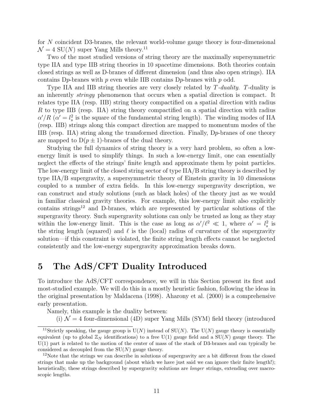for N coincident D3-branes, the relevant world-volume gauge theory is four-dimensional  $\mathcal{N} = 4$  SU(N) super Yang Mills theory.<sup>11</sup>

Two of the most studied versions of string theory are the maximally supersymmetric type IIA and type IIB string theories in 10 spacetime dimensions. Both theories contain closed strings as well as D-branes of different dimension (and thus also open strings). IIA contains D<sub>p</sub>-branes with p even while IIB contains D<sub>p</sub>-branes with p odd.

Type IIA and IIB string theories are very closely related by T-duality. T-duality is an inherently stringy phenomenon that occurs when a spatial direction is compact. It relates type IIA (resp. IIB) string theory compactified on a spatial direction with radius R to type IIB (resp. IIA) string theory compactified on a spatial direction with radius  $\alpha'/R$  ( $\alpha' = l_s^2$ ) is the square of the fundamental string length). The winding modes of IIA (resp. IIB) strings along this compact direction are mapped to momentum modes of the IIB (resp. IIA) string along the transformed direction. Finally, Dp-branes of one theory are mapped to  $D(p \pm 1)$ -branes of the dual theory.

Studying the full dynamics of string theory is a very hard problem, so often a lowenergy limit is used to simplify things. In such a low-energy limit, one can essentially neglect the effects of the strings' finite length and approximate them by point particles. The low-energy limit of the closed string sector of type IIA/B string theory is described by type IIA/B supergravity, a supersymmetric theory of Einstein gravity in 10 dimensions coupled to a number of extra fields. In this low-energy supergravity description, we can construct and study solutions (such as black holes) of the theory just as we would in familiar classical gravity theories. For example, this low-energy limit also explicitly contains strings<sup>12</sup> and D-branes, which are represented by particular solutions of the supergravity theory. Such supergravity solutions can only be trusted as long as they stay within the low-energy limit. This is the case as long as  $\alpha'/\ell^2 \ll 1$ , where  $\alpha' = l_s^2$  is the string length (squared) and  $\ell$  is the (local) radius of curvature of the supergravity solution—if this constraint is violated, the finite string length effects cannot be neglected consistently and the low-energy supergravity approximation breaks down.

# 5 The AdS/CFT Duality Introduced

To introduce the AdS/CFT correspondence, we will in this Section present its first and most-studied example. We will do this in a mostly heuristic fashion, following the ideas in the original presentation by Maldacena (1998). Aharony et al. (2000) is a comprehensive early presentation.

Namely, this example is the duality between:

(i)  $\mathcal{N} = 4$  four-dimensional (4D) super Yang Mills (SYM) field theory (introduced

<sup>&</sup>lt;sup>11</sup>Strictly speaking, the gauge group is  $U(N)$  instead of  $SU(N)$ . The  $U(N)$  gauge theory is essentially equivalent (up to global  $\mathbb{Z}_N$  identifications) to a free U(1) gauge field and a SU(N) gauge theory. The U(1) part is related to the motion of the center of mass of the stack of D3-branes and can typically be considered as decoupled from the  $SU(N)$  gauge theory.

 $12$ Note that the strings we can describe in solutions of supergravity are a bit different from the closed strings that make up the background (about which we have just said we can ignore their finite length!); heuristically, these strings described by supergravity solutions are longer strings, extending over macroscopic lengths.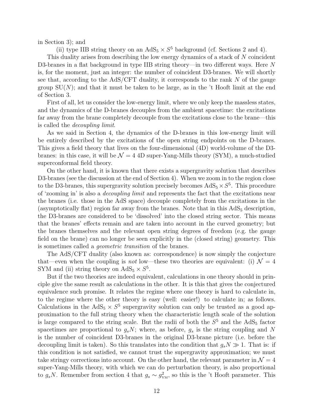in Section 3); and

(ii) type IIB string theory on an  $AdS_5 \times S^5$  background (cf. Sections 2 and 4).

This duality arises from describing the low energy dynamics of a stack of N coincident D3-branes in a flat background in type IIB string theory—in two different ways. Here  $N$ is, for the moment, just an integer: the number of coincident D3-branes. We will shortly see that, according to the AdS/CFT duality, it corresponds to the rank  $N$  of the gauge group  $SU(N)$ ; and that it must be taken to be large, as in the 't Hooft limit at the end of Section 3.

First of all, let us consider the low-energy limit, where we only keep the massless states, and the dynamics of the D-branes decouples from the ambient spacetime: the excitations far away from the brane completely decouple from the excitations close to the brane—this is called the decoupling limit.

As we said in Section 4, the dynamics of the D-branes in this low-energy limit will be entirely described by the excitations of the open string endpoints on the D-branes. This gives a field theory that lives on the four-dimensional (4D) world-volume of the D3 branes: in this case, it will be  $\mathcal{N} = 4$  4D super-Yang-Mills theory (SYM), a much-studied superconformal field theory.

On the other hand, it is known that there exists a supergravity solution that describes D3-branes (see the discussion at the end of Section 4). When we zoom in to the region close to the D3-branes, this supergravity solution precisely becomes  $AdS_5 \times S^5$ . This procedure of 'zooming in' is also a decoupling limit and represents the fact that the excitations near the branes (i.e. those in the AdS space) decouple completely from the excitations in the (asymptotically flat) region far away from the branes. Note that in this  $AdS_5$  description, the D3-branes are considered to be 'dissolved' into the closed string sector. This means that the branes' effects remain and are taken into account in the curved geometry; but the branes themselves and the relevant open string degrees of freedom (e.g. the gauge field on the brane) can no longer be seen explicitly in the (closed string) geometry. This is sometimes called a geometric transition of the branes.

The AdS/CFT duality (also known as: correspondence) is now simply the conjecture that—even when the coupling is *not* low—these two theories are equivalent: (i)  $\mathcal{N} = 4$ SYM and (ii) string theory on  $AdS_5 \times S^5$ .

But if the two theories are indeed equivalent, calculations in one theory should in principle give the same result as calculations in the other. It is this that gives the conjectured equivalence such promise. It relates the regime where one theory is hard to calculate in, to the regime where the other theory is easy (well: easier!) to calculate in; as follows. Calculations in the  $AdS_5 \times S^5$  supergravity solution can only be trusted as a good approximation to the full string theory when the characteristic length scale of the solution is large compared to the string scale. But the radii of both the  $S<sup>5</sup>$  and the  $AdS<sub>5</sub>$  factor spacetimes are proportional to  $g_sN$ ; where, as before,  $g_s$  is the string coupling and N is the number of coincident D3-branes in the original D3-brane picture (i.e. before the decoupling limit is taken). So this translates into the condition that  $g_sN \gg 1$ . That is: if this condition is not satisfied, we cannot trust the supergravity approximation; we must take stringy corrections into account. On the other hand, the relevant parameter in  $\mathcal{N}=4$ super-Yang-Mills theory, with which we can do perturbation theory, is also proportional to  $g_s N$ . Remember from section 4 that  $g_s \sim g_{YM}^2$ , so this is the 't Hooft parameter. This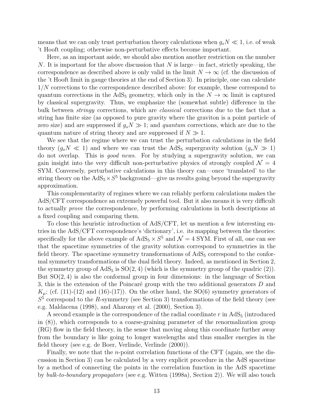means that we can only trust perturbation theory calculations when  $g_sN \ll 1$ , i.e. of weak 't Hooft coupling; otherwise non-perturbative effects become important.

Here, as an important aside, we should also mention another restriction on the number N. It is important for the above discussion that  $N$  is large—in fact, strictly speaking, the correspondence as described above is only valid in the limit  $N \to \infty$  (cf. the discussion of the 't Hooft limit in gauge theories at the end of Section 3). In principle, one can calculate 1/N corrections to the correspondence described above: for example, these correspond to quantum corrections in the AdS<sub>5</sub> geometry, which only in the  $N \to \infty$  limit is captured by classical supergravity. Thus, we emphasize the (somewhat subtle) difference in the bulk between *stringy* corrections, which are *classical* corrections due to the fact that a string has finite size (as opposed to pure gravity where the graviton is a point particle of zero size) and are suppressed if  $q_s N \gg 1$ ; and quantum corrections, which are due to the quantum nature of string theory and are suppressed if  $N \gg 1$ .

We see that the regime where we can trust the perturbation calculations in the field theory  $(g_s N \ll 1)$  and where we can trust the AdS<sub>5</sub> supergravity solution  $(g_s N \gg 1)$ do not overlap. This is good news. For by studying a supergravity solution, we can gain insight into the very difficult non-perturbative physics of strongly coupled  $\mathcal{N} = 4$ SYM. Conversely, perturbative calculations in this theory can—once 'translated' to the string theory on the  $AdS_5 \times S^5$  background—give us results going beyond the supergravity approximation.

This complementarity of regimes where we can reliably perform calculations makes the AdS/CFT correspondence an extremely powerful tool. But it also means it is very difficult to actually prove the correspondence, by performing calculations in both descriptions at a fixed coupling and comparing them.

To close this heuristic introduction of AdS/CFT, let us mention a few interesting entries in the AdS/CFT correspondence's 'dictionary', i.e. its mapping between the theories: specifically for the above example of  $AdS_5 \times S^5$  and  $\mathcal{N} = 4$  SYM. First of all, one can see that the spacetime symmetries of the gravity solution correspond to symmetries in the field theory. The spacetime symmetry transformations of  $AdS<sub>5</sub>$  correspond to the conformal symmetry transformations of the dual field theory. Indeed, as mentioned in Section 2, the symmetry group of  $AdS_5$  is  $SO(2, 4)$  (which is the symmetry group of the quadric  $(2)$ ). But  $SO(2, 4)$  is also the conformal group in four dimensions: in the language of Section 3, this is the extension of the Poincaré group with the two additional generators  $D$  and  $K_{\mu}$ ; (cf. (11)-(12) and (16)-(17)). On the other hand, the SO(6) symmetry generators of  $S<sup>5</sup>$  correspond to the R-symmetry (see Section 3) transformations of the field theory (see e.g. Maldacena (1998), and Aharony et al. (2000), Section 3).

A second example is the correspondence of the radial coordinate r in  $AdS_5$  (introduced in (8)), which corresponds to a coarse-graining parameter of the renormalization group (RG) flow in the field theory, in the sense that moving along this coordinate further away from the boundary is like going to longer wavelengths and thus smaller energies in the field theory (see e.g. de Boer, Verlinde, Verlinde (2000)).

Finally, we note that the *n*-point correlation functions of the CFT (again, see the discussion in Section 3) can be calculated by a very explicit procedure in the AdS spacetime by a method of connecting the points in the correlation function in the AdS spacetime by bulk-to-boundary propagators (see e.g. Witten (1998a), Section 2)). We will also touch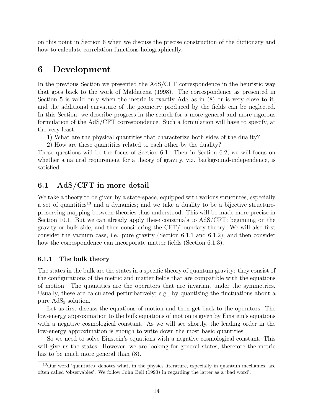on this point in Section 6 when we discuss the precise construction of the dictionary and how to calculate correlation functions holographically.

# 6 Development

In the previous Section we presented the AdS/CFT correspondence in the heuristic way that goes back to the work of Maldacena (1998). The correspondence as presented in Section 5 is valid only when the metric is exactly AdS as in (8) or is very close to it, and the additional curvature of the geometry produced by the fields can be neglected. In this Section, we describe progress in the search for a more general and more rigorous formulation of the AdS/CFT correspondence. Such a formulation will have to specify, at the very least:

1) What are the physical quantities that characterize both sides of the duality?

2) How are these quantities related to each other by the duality?

These questions will be the focus of Section 6.1. Then in Section 6.2, we will focus on whether a natural requirement for a theory of gravity, viz. background-independence, is satisfied.

### 6.1 AdS/CFT in more detail

We take a theory to be given by a state-space, equipped with various structures, especially a set of quantities<sup>13</sup> and a dynamics; and we take a duality to be a bijective structurepreserving mapping between theories thus understood. This will be made more precise in Section 10.1. But we can already apply these construals to AdS/CFT: beginning on the gravity or bulk side, and then considering the CFT/boundary theory. We will also first consider the vacuum case, i.e. pure gravity (Section 6.1.1 and 6.1.2); and then consider how the correspondence can incorporate matter fields (Section 6.1.3).

#### 6.1.1 The bulk theory

The states in the bulk are the states in a specific theory of quantum gravity: they consist of the configurations of the metric and matter fields that are compatible with the equations of motion. The quantities are the operators that are invariant under the symmetries. Usually, these are calculated perturbatively; e.g., by quantising the fluctuations about a pure AdS<sub>5</sub> solution.

Let us first discuss the equations of motion and then get back to the operators. The low-energy approximation to the bulk equations of motion is given by Einstein's equations with a negative cosmological constant. As we will see shortly, the leading order in the low-energy approximation is enough to write down the most basic quantities.

So we need to solve Einstein's equations with a negative cosmological constant. This will give us the states. However, we are looking for general states, therefore the metric has to be much more general than (8).

<sup>13</sup>Our word 'quantities' denotes what, in the physics literature, especially in quantum mechanics, are often called 'observables'. We follow John Bell (1990) in regarding the latter as a 'bad word'.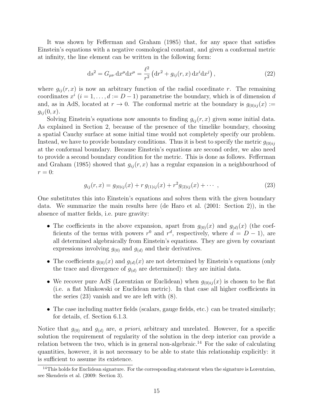It was shown by Fefferman and Graham (1985) that, for any space that satisfies Einstein's equations with a negative cosmological constant, and given a conformal metric at infinity, the line element can be written in the following form:

$$
ds^{2} = G_{\mu\nu} dx^{\mu} dx^{\mu} = \frac{\ell^{2}}{r^{2}} \left( dr^{2} + g_{ij}(r, x) dx^{i} dx^{j} \right),
$$
 (22)

where  $g_{ij}(r, x)$  is now an arbitrary function of the radial coordinate r. The remaining coordinates  $x^i$   $(i = 1, ..., d := D - 1)$  parametrise the boundary, which is of dimension d and, as in AdS, located at  $r \to 0$ . The conformal metric at the boundary is  $q_{(0)ij}(x) :=$  $g_{ij}(0, x)$ .

Solving Einstein's equations now amounts to finding  $g_{ij}(r, x)$  given some initial data. As explained in Section 2, because of the presence of the timelike boundary, choosing a spatial Cauchy surface at some initial time would not completely specify our problem. Instead, we have to provide boundary conditions. Thus it is best to specify the metric  $g_{(0)ij}$ at the conformal boundary. Because Einstein's equations are second order, we also need to provide a second boundary condition for the metric. This is done as follows. Fefferman and Graham (1985) showed that  $g_{ij}(r, x)$  has a regular expansion in a neighbourhood of  $r=0$ :

$$
g_{ij}(r,x) = g_{(0)ij}(x) + r g_{(1)ij}(x) + r^2 g_{(2)ij}(x) + \cdots,
$$
\n(23)

One substitutes this into Einstein's equations and solves them with the given boundary data. We summarize the main results here (de Haro et al. (2001: Section 2)), in the absence of matter fields, i.e. pure gravity:

- The coefficients in the above expansion, apart from  $g_{(0)}(x)$  and  $g_{(d)}(x)$  (the coefficients of the terms with powers  $r^0$  and  $r^d$ , respectively, where  $d = D - 1$ , are all determined algebraically from Einstein's equations. They are given by covariant expressions involving  $g_{(0)}$  and  $g_{(d)}$  and their derivatives.
- The coefficients  $g_{(0)}(x)$  and  $g_{(d)}(x)$  are not determined by Einstein's equations (only the trace and divergence of  $g_{(d)}$  are determined): they are initial data.
- We recover pure AdS (Lorentzian or Euclidean) when  $g_{(0)ij}(x)$  is chosen to be flat (i.e. a flat Minkowski or Euclidean metric). In that case all higher coefficients in the series (23) vanish and we are left with (8).
- The case including matter fields (scalars, gauge fields, etc.) can be treated similarly; for details, cf. Section 6.1.3.

Notice that  $g_{(0)}$  and  $g_{(d)}$  are, a priori, arbitrary and unrelated. However, for a specific solution the requirement of regularity of the solution in the deep interior can provide a relation between the two, which is in general non-algebraic.<sup>14</sup> For the sake of calculating quantities, however, it is not necessary to be able to state this relationship explicitly: it is sufficient to assume its existence.

<sup>&</sup>lt;sup>14</sup>This holds for Euclidean signature. For the corresponding statement when the signature is Lorentzian, see Skenderis et al. (2009: Section 3).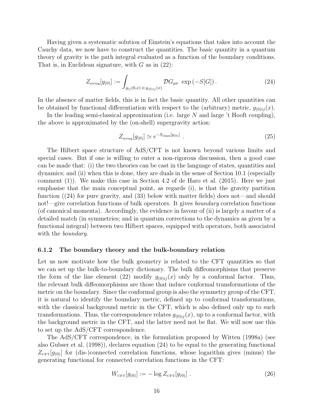Having given a systematic solution of Einstein's equations that takes into account the Cauchy data, we now have to construct the quantities. The basic quantity in a quantum theory of gravity is the path integral evaluated as a function of the boundary conditions. That is, in Euclidean signature, with  $G$  as in  $(22)$ :

$$
Z_{\text{string}}[g_{(0)}] := \int_{g_{ij}(0,x) \equiv g_{(0)ij}(x)} \mathcal{D}G_{\mu\nu} \exp(-S[G]) . \tag{24}
$$

In the absence of matter fields, this is in fact the basic quantity. All other quantities can be obtained by functional differentiation with respect to the (arbitrary) metric,  $q_{(0)ij}(x)$ .

In the leading semi-classical approximation (i.e. large  $N$  and large 't Hooft coupling), the above is approximated by the (on-shell) supergravity action:

$$
Z_{\text{string}}[g_{(0)}] \simeq e^{-S_{\text{class}}[g_{(0)}]} \tag{25}
$$

The Hilbert space structure of AdS/CFT is not known beyond various limits and special cases. But if one is willing to enter a non-rigorous discussion, then a good case can be made that: (i) the two theories can be cast in the language of states, quantities and dynamics; and (ii) when this is done, they are duals in the sense of Section 10.1 (especially comment (1)). We make this case in Section 4.2 of de Haro et al. (2015). Here we just emphasise that the main conceptual point, as regards (i), is that the gravity partition function ((24) for pure gravity, and (33) below with matter fields) does not—and should not!—give correlation functions of bulk operators. It gives *boundary* correlation functions (of canonical momenta). Accordingly, the evidence in favour of (ii) is largely a matter of a detailed match (in symmetries; and in quantum corrections to the dynamics as given by a functional integral) between two Hilbert spaces, equipped with operators, both associated with the *boundary*.

#### 6.1.2 The boundary theory and the bulk-boundary relation

Let us now motivate how the bulk geometry is related to the CFT quantities so that we can set up the bulk-to-boundary dictionary. The bulk diffeomorphisms that preserve the form of the line element (22) modify  $g_{(0)ij}(x)$  only by a conformal factor. Thus, the relevant bulk diffeomorphisms are those that induce conformal transformations of the metric on the boundary. Since the conformal group is also the symmetry group of the CFT, it is natural to identify the boundary metric, defined up to conformal transformations, with the classical background metric in the CFT, which is also defined only up to such transformations. Thus, the correspondence relates  $g_{(0)ij}(x)$ , up to a conformal factor, with the background metric in the CFT, and the latter need not be flat. We will now use this to set up the AdS/CFT correspondence.

The AdS/CFT correspondence, in the formulation proposed by Witten (1998a) (see also Gubser et al. (1998)), declares equation (24) to be equal to the generating functional  $Z_{\text{CFT}}[g_{(0)}]$  for (dis-)connected correlation functions, whose logarithm gives (minus) the generating functional for connected correlation functions in the CFT:

$$
W_{\text{CFT}}[g_{(0)}] := -\log Z_{\text{CFT}}[g_{(0)}] \tag{26}
$$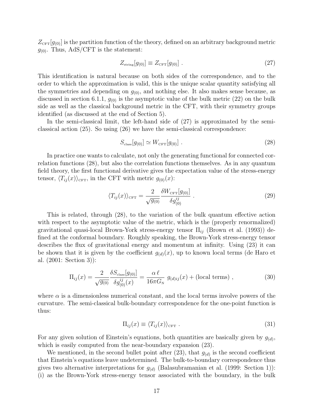$Z_{\text{CFT}}|g_{(0)}|$  is the partition function of the theory, defined on an arbitrary background metric  $g_{(0)}$ . Thus, AdS/CFT is the statement:

$$
Z_{\text{string}}[g_{(0)}] \equiv Z_{\text{CFT}}[g_{(0)}] \ . \tag{27}
$$

This identification is natural because on both sides of the correspondence, and to the order to which the approximation is valid, this is the unique scalar quantity satisfying all the symmetries and depending on  $g_{(0)}$ , and nothing else. It also makes sense because, as discussed in section 6.1.1,  $g_{(0)}$  is the asymptotic value of the bulk metric (22) on the bulk side as well as the classical background metric in the CFT, with their symmetry groups identified (as discussed at the end of Section 5).

In the semi-classical limit, the left-hand side of (27) is approximated by the semiclassical action (25). So using (26) we have the semi-classical correspondence:

$$
S_{\text{class}}[g_{(0)}] \simeq W_{\text{CFT}}[g_{(0)}]. \tag{28}
$$

In practice one wants to calculate, not only the generating functional for connected correlation functions (28), but also the correlation functions themselves. As in any quantum field theory, the first functional derivative gives the expectation value of the stress-energy tensor,  $\langle T_{ij}(x)\rangle_{\text{CFT}}$ , in the CFT with metric  $g_{(0)}(x)$ :

$$
\langle T_{ij}(x) \rangle_{\text{CFT}} = \frac{2}{\sqrt{g_{(0)}}} \frac{\delta W_{\text{CFT}}[g_{(0)}]}{\delta g_{(0)}^{ij}} . \tag{29}
$$

This is related, through (28), to the variation of the bulk quantum effective action with respect to the asymptotic value of the metric, which is the (properly renormalized) gravitational quasi-local Brown-York stress-energy tensor  $\Pi_{ij}$  (Brown et al. (1993)) defined at the conformal boundary. Roughly speaking, the Brown-York stress-energy tensor describes the flux of gravitational energy and momentum at infinity. Using (23) it can be shown that it is given by the coefficient  $g_{(d)}(x)$ , up to known local terms (de Haro et al. (2001: Section 3)):

$$
\Pi_{ij}(x) = \frac{2}{\sqrt{g_{(0)}}} \frac{\delta S_{\text{class}}[g_{(0)}]}{\delta g_{(0)}^{ij}(x)} = \frac{\alpha \ell}{16\pi G_N} g_{(d)ij}(x) + (\text{local terms}), \qquad (30)
$$

where  $\alpha$  is a dimensionless numerical constant, and the local terms involve powers of the curvature. The semi-classical bulk-boundary correspondence for the one-point function is thus:

$$
\Pi_{ij}(x) \equiv \langle T_{ij}(x) \rangle_{\text{CFT}} . \tag{31}
$$

For any given solution of Einstein's equations, both quantities are basically given by  $g_{(d)}$ , which is easily computed from the near-boundary expansion (23).

We mentioned, in the second bullet point after  $(23)$ , that  $g_{(d)}$  is the second coefficient that Einstein's equations leave undetermined. The bulk-to-boundary correspondence thus gives two alternative interpretations for  $g_{(d)}$  (Balasubramanian et al. (1999: Section 1)): (i) as the Brown-York stress-energy tensor associated with the boundary, in the bulk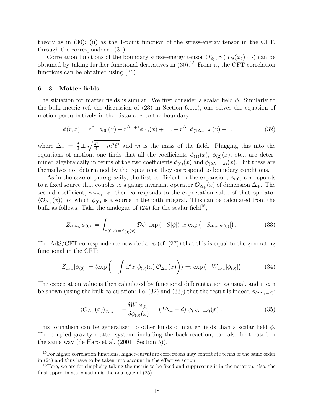theory as in (30); (ii) as the 1-point function of the stress-energy tensor in the CFT, through the correspondence (31).

Correlation functions of the boundary stress-energy tensor  $\langle T_{ij}(x_1) T_{kl}(x_2) \cdots \rangle$  can be obtained by taking further functional derivatives in  $(30)$ .<sup>15</sup> From it, the CFT correlation functions can be obtained using (31).

#### 6.1.3 Matter fields

The situation for matter fields is similar. We first consider a scalar field  $\phi$ . Similarly to the bulk metric (cf. the discussion of (23) in Section 6.1.1), one solves the equation of motion perturbatively in the distance  $r$  to the boundary:

$$
\phi(r,x) = r^{\Delta_-}\phi_{(0)}(x) + r^{\Delta_-+1}\phi_{(1)}(x) + \ldots + r^{\Delta_+}\phi_{(2\Delta_+-d)}(x) + \ldots \,, \tag{32}
$$

where  $\Delta_{\pm} = \frac{d}{2} \pm \sqrt{\frac{d^2}{4} + m^2 \ell^2}$  and m is the mass of the field. Plugging this into the equations of motion, one finds that all the coefficients  $\phi_{(1)}(x)$ ,  $\phi_{(2)}(x)$ , etc., are determined algebraically in terms of the two coefficients  $\phi_{(0)}(x)$  and  $\phi_{(2\Delta_+-d)}(x)$ . But these are themselves not determined by the equations: they correspond to boundary conditions.

As in the case of pure gravity, the first coefficient in the expansion,  $\phi_{(0)}$ , corresponds to a fixed source that couples to a gauge invariant operator  $\mathcal{O}_{\Delta_+}(x)$  of dimension  $\Delta_+$ . The second coefficient,  $\phi_{(2\Delta_+-d)}$ , then corresponds to the expectation value of that operator  $\langle \mathcal{O}_{\Delta_+}(x) \rangle$  for which  $\phi_{(0)}$  is a source in the path integral. This can be calculated from the bulk as follows. Take the analogue of  $(24)$  for the scalar field<sup>16</sup>,

$$
Z_{\text{string}}[\phi_{(0)}] = \int_{\phi(0,x) = \phi_{(0)}(x)} \mathcal{D}\phi \, \exp\left(-S[\phi]\right) \simeq \exp\left(-S_{\text{class}}[\phi_{(0)}]\right). \tag{33}
$$

The AdS/CFT correspondence now declares (cf. (27)) that this is equal to the generating functional in the CFT:

$$
Z_{\text{CFT}}[\phi_{(0)}] = \langle \exp\left(-\int d^d x \; \phi_{(0)}(x) \, \mathcal{O}_{\Delta_+}(x)\right) \rangle =: \exp\left(-W_{\text{CFT}}[\phi_{(0)}]\right) \tag{34}
$$

The expectation value is then calculated by functional differentiation as usual, and it can be shown (using the bulk calculation: i.e. (32) and (33)) that the result is indeed  $\phi_{(2\Delta_{+}-d)}$ :

$$
\langle \mathcal{O}_{\Delta_+}(x) \rangle_{\phi_{(0)}} = -\frac{\delta W[\phi_{(0)}]}{\delta \phi_{(0)}(x)} = (2\Delta_+ - d) \phi_{(2\Delta_+ - d)}(x) . \tag{35}
$$

This formalism can be generalised to other kinds of matter fields than a scalar field  $\phi$ . The coupled gravity-matter system, including the back-reaction, can also be treated in the same way (de Haro et al. (2001: Section 5)).

<sup>&</sup>lt;sup>15</sup>For higher correlation functions, higher-curvature corrections may contribute terms of the same order in (24) and thus have to be taken into account in the effective action.

<sup>&</sup>lt;sup>16</sup>Here, we are for simplicity taking the metric to be fixed and suppressing it in the notation; also, the final approximate equation is the analogue of (25).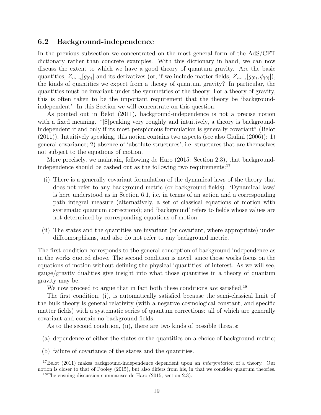#### 6.2 Background-independence

In the previous subsection we concentrated on the most general form of the AdS/CFT dictionary rather than concrete examples. With this dictionary in hand, we can now discuss the extent to which we have a good theory of quantum gravity. Are the basic quantities,  $Z_{\text{string}}[g_{(0)}]$  and its derivatives (or, if we include matter fields,  $Z_{\text{string}}[g_{(0)}, \phi_{(0)}]$ ), the kinds of quantities we expect from a theory of quantum gravity? In particular, the quantities must be invariant under the symmetries of the theory. For a theory of gravity, this is often taken to be the important requirement that the theory be 'backgroundindependent'. In this Section we will concentrate on this question.

As pointed out in Belot (2011), background-independence is not a precise notion with a fixed meaning. "[S] peaking very roughly and intuitively, a theory is backgroundindependent if and only if its most perspicuous formulation is generally covariant" (Belot (2011)). Intuitively speaking, this notion contains two aspects (see also Giulini (2006)): 1) general covariance; 2) absence of 'absolute structures', i.e. structures that are themselves not subject to the equations of motion.

More precisely, we maintain, following de Haro (2015: Section 2.3), that backgroundindependence should be cashed out as the following two requirements: $^{17}$ 

- (i) There is a generally covariant formulation of the dynamical laws of the theory that does not refer to any background metric (or background fields). 'Dynamical laws' is here understood as in Section 6.1, i.e. in terms of an action and a corresponding path integral measure (alternatively, a set of classical equations of motion with systematic quantum corrections); and 'background' refers to fields whose values are not determined by corresponding equations of motion.
- (ii) The states and the quantities are invariant (or covariant, where appropriate) under diffeomorphisms, and also do not refer to any background metric.

The first condition corresponds to the general conception of background-independence as in the works quoted above. The second condition is novel, since those works focus on the equations of motion without defining the physical 'quantities' of interest. As we will see, gauge/gravity dualities give insight into what those quantities in a theory of quantum gravity may be.

We now proceed to argue that in fact both these conditions are satisfied.<sup>18</sup>

The first condition, (i), is automatically satisfied because the semi-classical limit of the bulk theory is general relativity (with a negative cosmological constant, and specific matter fields) with a systematic series of quantum corrections: all of which are generally covariant and contain no background fields.

As to the second condition, (ii), there are two kinds of possible threats:

- (a) dependence of either the states or the quantities on a choice of background metric;
- (b) failure of covariance of the states and the quantities.

<sup>&</sup>lt;sup>17</sup>Belot (2011) makes background-independence dependent upon an *interpretation* of a theory. Our notion is closer to that of Pooley (2015), but also differs from his, in that we consider quantum theories.

<sup>&</sup>lt;sup>18</sup>The ensuing discussion summarises de Haro  $(2015, \text{ section } 2.3)$ .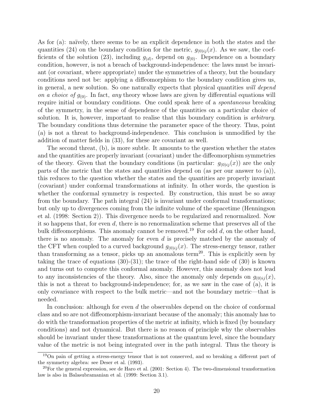As for (a): naïvely, there seems to be an explicit dependence in both the states and the quantities (24) on the boundary condition for the metric,  $g_{(0)i}(x)$ . As we saw, the coefficients of the solution (23), including  $g_{(d)}$ , depend on  $g_{(0)}$ . Dependence on a boundary condition, however, is not a breach of background-independence: the laws must be invariant (or covariant, where appropriate) under the symmetries of a theory, but the boundary conditions need not be: applying a diffeomorphism to the boundary condition gives us, in general, a new solution. So one naturally expects that physical quantities will depend on a choice of  $g_{(0)}$ . In fact, any theory whose laws are given by differential equations will require initial or boundary conditions. One could speak here of a *spontaneous* breaking of the symmetry, in the sense of dependence of the quantities on a particular choice of solution. It is, however, important to realise that this boundary condition is *arbitrary*. The boundary conditions thus determine the parameter space of the theory. Thus, point (a) is not a threat to background-independence. This conclusion is unmodified by the addition of matter fields in (33), for these are covariant as well.

The second threat, (b), is more subtle. It amounts to the question whether the states and the quantities are properly invariant (covariant) under the diffeomorphism symmetries of the theory. Given that the boundary conditions (in particular:  $g_{(0)i}(x)$ ) are the only parts of the metric that the states and quantities depend on (as per our answer to (a)), this reduces to the question whether the states and the quantities are properly invariant (covariant) under conformal transformations at infinity. In other words, the question is whether the conformal symmetry is respected. By construction, this must be so away from the boundary. The path integral (24) is invariant under conformal transformations; but only up to divergences coming from the infinite volume of the spacetime (Henningson et al. (1998: Section 2)). This divergence needs to be regularized and renormalized. Now it so happens that, for even d, there is no renormalization scheme that preserves all of the bulk diffeomorphisms. This anomaly cannot be removed.<sup>19</sup> For odd d, on the other hand, there is no anomaly. The anomaly for even d is precisely matched by the anomaly of the CFT when coupled to a curved background  $g_{(0)ij}(x)$ . The stress-energy tensor, rather than transforming as a tensor, picks up an anomalous term<sup>20</sup>. This is explicitly seen by taking the trace of equations  $(30)-(31)$ ; the trace of the right-hand side of  $(30)$  is known and turns out to compute this conformal anomaly. However, this anomaly does not lead to any inconsistencies of the theory. Also, since the anomaly only depends on  $g_{(0)ij}(x)$ , this is not a threat to background-independence; for, as we saw in the case of (a), it is only covariance with respect to the bulk metric—and not the boundary metric—that is needed.

In conclusion: although for even d the observables depend on the choice of conformal class and so are not diffeomorphism-invariant because of the anomaly; this anomaly has to do with the transformation properties of the metric at infinity, which is fixed (by boundary conditions) and not dynamical. But there is no reason of principle why the observables should be invariant under these transformations at the quantum level, since the boundary value of the metric is not being integrated over in the path integral. Thus the theory is

<sup>19</sup>On pain of getting a stress-energy tensor that is not conserved, and so breaking a different part of the symmetry algebra: see Deser et al. (1993).

 $^{20}$ For the general expression, see de Haro et al. (2001: Section 4). The two-dimensional transformation law is also in Balasubramanian et al. (1999: Section 3.1).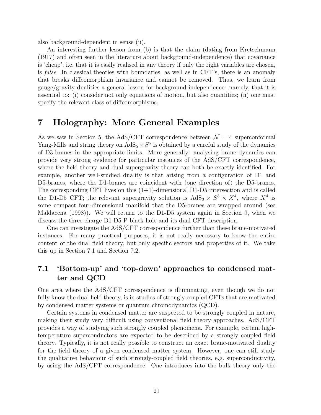also background-dependent in sense (ii).

An interesting further lesson from (b) is that the claim (dating from Kretschmann (1917) and often seen in the literature about background-independence) that covariance is 'cheap', i.e. that it is easily realised in any theory if only the right variables are chosen, is false. In classical theories with boundaries, as well as in CFT's, there is an anomaly that breaks diffeomorphism invariance and cannot be removed. Thus, we learn from gauge/gravity dualities a general lesson for background-independence: namely, that it is essential to: (i) consider not only equations of motion, but also quantities; (ii) one must specify the relevant class of diffeomorphisms.

### 7 Holography: More General Examples

As we saw in Section 5, the AdS/CFT correspondence between  $\mathcal{N} = 4$  superconformal Yang-Mills and string theory on  $AdS_5 \times S^5$  is obtained by a careful study of the dynamics of D3-branes in the appropriate limits. More generally: analysing brane dynamics can provide very strong evidence for particular instances of the AdS/CFT correspondence, where the field theory and dual supergravity theory can both be exactly identified. For example, another well-studied duality is that arising from a configuration of D1 and D5-branes, where the D1-branes are coincident with (one direction of) the D5-branes. The corresponding CFT lives on this  $(1+1)$ -dimensional D1-D5 intersection and is called the D1-D5 CFT; the relevant supergravity solution is  $AdS_3 \times S^3 \times X^4$ , where  $X^4$  is some compact four-dimensional manifold that the D5-branes are wrapped around (see Maldacena (1998)). We will return to the D1-D5 system again in Section 9, when we discuss the three-charge D1-D5-P black hole and its dual CFT description.

One can investigate the AdS/CFT correspondence further than these brane-motivated instances. For many practical purposes, it is not really necessary to know the entire content of the dual field theory, but only specific sectors and properties of it. We take this up in Section 7.1 and Section 7.2.

### 7.1 'Bottom-up' and 'top-down' approaches to condensed matter and QCD

One area where the AdS/CFT correspondence is illuminating, even though we do not fully know the dual field theory, is in studies of strongly coupled CFTs that are motivated by condensed matter systems or quantum chromodynamics (QCD).

Certain systems in condensed matter are suspected to be strongly coupled in nature, making their study very difficult using conventional field theory approaches. AdS/CFT provides a way of studying such strongly coupled phenomena. For example, certain hightemperature superconductors are expected to be described by a strongly coupled field theory. Typically, it is not really possible to construct an exact brane-motivated duality for the field theory of a given condensed matter system. However, one can still study the qualitative behaviour of such strongly-coupled field theories, e.g. superconductivity, by using the AdS/CFT correspondence. One introduces into the bulk theory only the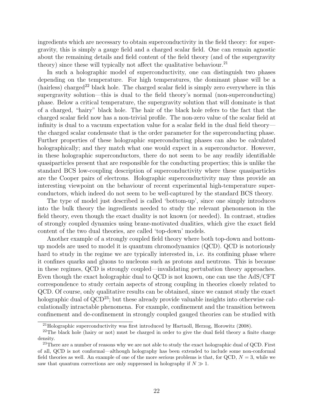ingredients which are necessary to obtain superconductivity in the field theory: for supergravity, this is simply a gauge field and a charged scalar field. One can remain agnostic about the remaining details and field content of the field theory (and of the supergravity theory) since these will typically not affect the qualitative behaviour.<sup>21</sup>

In such a holographic model of superconductivity, one can distinguish two phases depending on the temperature. For high temperatures, the dominant phase will be a  $(hairless)$  charged<sup>22</sup> black hole. The charged scalar field is simply zero everywhere in this supergravity solution—this is dual to the field theory's normal (non-superconducting) phase. Below a critical temperature, the supergravity solution that will dominate is that of a charged, "hairy" black hole. The hair of the black hole refers to the fact that the charged scalar field now has a non-trivial profile. The non-zero value of the scalar field at infinity is dual to a vacuum expectation value for a scalar field in the dual field theory the charged scalar condensate that is the order parameter for the superconducting phase. Further properties of these holographic superconducting phases can also be calculated holographically; and they match what one would expect in a superconductor. However, in these holographic superconductors, there do not seem to be any readily identifiable quasiparticles present that are responsible for the conducting properties; this is unlike the standard BCS low-coupling description of superconductivity where these quasiparticles are the Cooper pairs of electrons. Holographic superconductivity may thus provide an interesting viewpoint on the behaviour of recent experimental high-temperature superconductors, which indeed do not seem to be well-captured by the standard BCS theory.

The type of model just described is called 'bottom-up', since one simply introduces into the bulk theory the ingredients needed to study the relevant phenomenon in the field theory, even though the exact duality is not known (or needed). In contrast, studies of strongly coupled dynamics using brane-motivated dualities, which give the exact field content of the two dual theories, are called 'top-down' models.

Another example of a strongly coupled field theory where both top-down and bottomup models are used to model it is quantum chromodynamics (QCD). QCD is notoriously hard to study in the regime we are typically interested in, i.e. its confining phase where it confines quarks and gluons to nucleons such as protons and neutrons. This is because in these regimes, QCD is strongly coupled—invalidating pertubation theory approaches. Even though the exact holographic dual to QCD is not known, one can use the AdS/CFT correspondence to study certain aspects of strong coupling in theories closely related to QCD. Of course, only qualitative results can be obtained, since we cannot study the exact holographic dual of  $QCD^{23}$ ; but these already provide valuable insights into otherwise calculationally intractable phenomena. For example, confinement and the transition between confinement and de-confinement in strongly coupled gauged theories can be studied with

 $^{21}$ Holographic superconductivity was first introduced by Hartnoll, Herzog, Horowitz (2008).

 $22$ The black hole (hairy or not) must be charged in order to give the dual field theory a finite charge density.

<sup>&</sup>lt;sup>23</sup>There are a number of reasons why we are not able to study the exact holographic dual of QCD. First of all, QCD is not conformal—although holography has been extended to include some non-conformal field theories as well. An example of one of the more serious problems is that, for QCD,  $N = 3$ , while we saw that quantum corrections are only suppressed in holography if  $N \gg 1$ .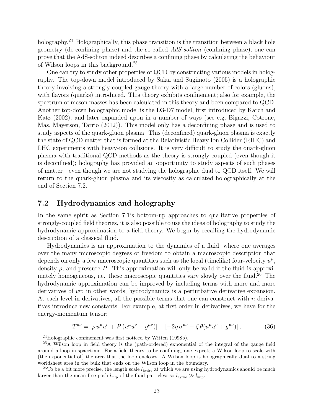holography.<sup>24</sup> Holographically, this phase transition is the transition between a black hole geometry (de-confining phase) and the so-called AdS-soliton (confining phase); one can prove that the AdS-soliton indeed describes a confining phase by calculating the behaviour of Wilson loops in this background.<sup>25</sup>

One can try to study other properties of QCD by constructing various models in holography. The top-down model introduced by Sakai and Sugimoto (2005) is a holographic theory involving a strongly-coupled gauge theory with a large number of colors (gluons), with flavors (quarks) introduced. This theory exhibits confinement; also for example, the spectrum of meson masses has been calculated in this theory and been compared to QCD. Another top-down holographic model is the D3-D7 model, first introduced by Karch and Katz (2002), and later expanded upon in a number of ways (see e.g. Bigazzi, Cotrone, Mas, Mayerson, Tarrio (2012)). This model only has a deconfining phase and is used to study aspects of the quark-gluon plasma. This (deconfined) quark-gluon plasma is exactly the state of QCD matter that is formed at the Relativistic Heavy Ion Collider (RHIC) and LHC experiments with heavy-ion collisions. It is very difficult to study the quark-gluon plasma with traditional QCD methods as the theory is strongly coupled (even though it is deconfined); holography has provided an opportunity to study aspects of such phases of matter—even though we are not studying the holographic dual to QCD itself. We will return to the quark-gluon plasma and its viscosity as calculated holographically at the end of Section 7.2.

#### 7.2 Hydrodynamics and holography

In the same spirit as Section 7.1's bottom-up approaches to qualitative properties of strongly-coupled field theories, it is also possible to use the ideas of holography to study the hydrodynamic approximation to a field theory. We begin by recalling the hydrodynamic description of a classical fluid.

Hydrodynamics is an approximation to the dynamics of a fluid, where one averages over the many microscopic degrees of freedom to obtain a macroscopic description that depends on only a few macroscopic quantities such as the local (timelike) four-velocity  $u^{\mu}$ , density  $\rho$ , and pressure P. This approximation will only be valid if the fluid is approximately homogeneous, i.e. these macroscopic quantities vary slowly over the fluid.<sup>26</sup> The hydrodynamic approximation can be improved by including terms with more and more derivatives of  $u^{\mu}$ ; in other words, hydrodynamics is a perturbative derivative expansion. At each level in derivatives, all the possible terms that one can construct with  $n$  derivatives introduce new constants. For example, at first order in derivatives, we have for the energy-momentum tensor:

$$
T^{\mu\nu} = \left[ \rho \, u^{\mu} u^{\nu} + P \, (u^{\mu} u^{\nu} + g^{\mu\nu}) \right] + \left[ -2\eta \, \sigma^{\mu\nu} - \zeta \, \theta (u^{\mu} u^{\nu} + g^{\mu\nu}) \right],\tag{36}
$$

 $^{24}$ Holographic confinement was first noticed by Witten (1998b).

<sup>25</sup>A Wilson loop in field theory is the (path-ordered) exponential of the integral of the gauge field around a loop in spacetime. For a field theory to be confining, one expects a Wilson loop to scale with (the exponential of) the area that the loop encloses. A Wilson loop is holographically dual to a string worldsheet area in the bulk that ends on the Wilson loop in the boundary.

<sup>&</sup>lt;sup>26</sup>To be a bit more precise, the length scale  $l_{\text{hydro}}$  at which we are using hydrodynamics should be much larger than the mean free path  $l_{\text{mfp}}$  of the fluid particles: so  $l_{\text{hydro}} \gg l_{\text{mfp}}$ .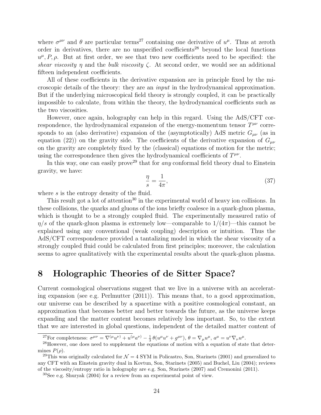where  $\sigma^{\mu\nu}$  and  $\theta$  are particular terms<sup>27</sup> containing one derivative of  $u^{\mu}$ . Thus at zeroth order in derivatives, there are no unspecified coefficients<sup>28</sup> beyond the local functions  $u^{\mu}, P, \rho$ . But at first order, we see that two new coefficients need to be specified: the shear viscosity  $\eta$  and the bulk viscosity  $\zeta$ . At second order, we would see an additional fifteen independent coefficients.

All of these coefficients in the derivative expansion are in principle fixed by the microscopic details of the theory: they are an input in the hydrodynamical approximation. But if the underlying microscopical field theory is strongly coupled, it can be practically impossible to calculate, from within the theory, the hydrodynamical coefficients such as the two viscosities.

However, once again, holography can help in this regard. Using the AdS/CFT correspondence, the hydrodynamical expansion of the energy-momentum tensor  $T^{\mu\nu}$  corresponds to an (also derivative) expansion of the (asymptotically) AdS metric  $G_{\mu\nu}$  (as in equation (22)) on the gravity side. The coefficients of the derivative expansion of  $G_{\mu\nu}$ on the gravity are completely fixed by the (classical) equations of motion for the metric; using the correspondence then gives the hydrodynamical coefficients of  $T^{\mu\nu}$ .

In this way, one can easily prove<sup>29</sup> that for *any* conformal field theory dual to Einstein gravity, we have:

$$
\frac{\eta}{s} = \frac{1}{4\pi},\tag{37}
$$

where s is the entropy density of the fluid.

This result got a lot of attention<sup>30</sup> in the experimental world of heavy ion collisions. In these collisions, the quarks and gluons of the ions briefly coalesce in a quark-gluon plasma, which is thought to be a strongly coupled fluid. The experimentally measured ratio of  $\eta/s$  of the quark-gluon plasma is extremely low—comparable to  $1/(4\pi)$ —this cannot be explained using any conventional (weak coupling) description or intuition. Thus the AdS/CFT correspondence provided a tantalizing model in which the shear viscosity of a strongly coupled fluid could be calculated from first principles; moreover, the calculation seems to agree qualitatively with the experimental results about the quark-gluon plasma.

### 8 Holographic Theories of de Sitter Space?

Current cosmological observations suggest that we live in a universe with an accelerating expansion (see e.g. Perlmutter (2011)). This means that, to a good approximation, our universe can be described by a spacetime with a positive cosmological constant, an approximation that becomes better and better towards the future, as the universe keeps expanding and the matter content becomes relatively less important. So, to the extent that we are interested in global questions, independent of the detailed matter content of

<sup>&</sup>lt;sup>27</sup>For completeness:  $\sigma^{\mu\nu} = \nabla^{(\mu}u^{\nu)} + u^{(\mu}a^{\nu)} - \frac{1}{3}\theta(u^{\mu}u^{\nu} + g^{\mu\nu}), \theta = \nabla_{\mu}u^{\mu}, a^{\mu} = u^{\nu}\nabla_{\nu}u^{\mu}.$ 

<sup>&</sup>lt;sup>28</sup>However, one does need to supplement the equations of motion with a equation of state that determines  $P(\rho)$ .

<sup>&</sup>lt;sup>29</sup>This was originally calculated for  $\mathcal{N} = 4$  SYM in Policastro, Son, Starinets (2001) and generalized to any CFT with an Einstein gravity dual in Kovtun, Son, Starinets (2005) and Buchel, Liu (2004); reviews of the viscosity/entropy ratio in holography are e.g. Son, Starinets (2007) and Cremonini (2011).

 $30$ See e.g. Shuryak (2004) for a review from an experimental point of view.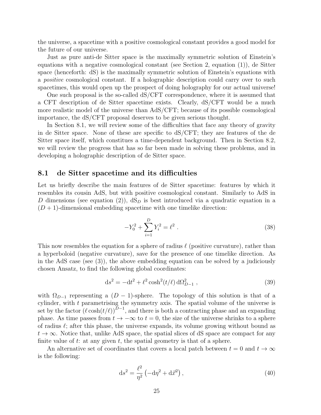the universe, a spacetime with a positive cosmological constant provides a good model for the future of our universe.

Just as pure anti-de Sitter space is the maximally symmetric solution of Einstein's equations with a negative cosmological constant (see Section 2, equation (1)), de Sitter space (henceforth: dS) is the maximally symmetric solution of Einstein's equations with a positive cosmological constant. If a holographic description could carry over to such spacetimes, this would open up the prospect of doing holography for our actual universe!

One such proposal is the so-called  $dS/CFT$  correspondence, where it is assumed that a CFT description of de Sitter spacetime exists. Clearly, dS/CFT would be a much more realistic model of the universe than AdS/CFT; because of its possible cosmological importance, the dS/CFT proposal deserves to be given serious thought.

In Section 8.1, we will review some of the difficulties that face any theory of gravity in de Sitter space. None of these are specific to  $dS/CFT$ ; they are features of the de Sitter space itself, which constitues a time-dependent background. Then in Section 8.2, we will review the progress that has so far been made in solving these problems, and in developing a holographic description of de Sitter space.

#### 8.1 de Sitter spacetime and its difficulties

Let us briefly describe the main features of de Sitter spacetime: features by which it resembles its cousin AdS, but with positive cosmological constant. Similarly to AdS in D dimensions (see equation (2)),  $dS<sub>D</sub>$  is best introduced via a quadratic equation in a  $(D+1)$ -dimensional embedding spacetime with one timelike direction:

$$
-Y_0^2 + \sum_{i=1}^{D} Y_i^2 = \ell^2 \ . \tag{38}
$$

This now resembles the equation for a sphere of radius  $\ell$  (positive curvature), rather than a hyperboloid (negative curvature), save for the presence of one timelike direction. As in the AdS case (see (3)), the above embedding equation can be solved by a judiciously chosen Ansatz, to find the following global coordinates:

$$
ds^{2} = -dt^{2} + \ell^{2} \cosh^{2}(t/\ell) d\Omega_{D-1}^{2} , \qquad (39)
$$

with  $\Omega_{D-1}$  representing a  $(D-1)$ -sphere. The topology of this solution is that of a cylinder, with  $t$  parametrising the symmetry axis. The spatial volume of the universe is set by the factor  $(\ell \cosh(t/\ell))^{D-1}$ , and there is both a contracting phase and an expanding phase. As time passes from  $t \to -\infty$  to  $t = 0$ , the size of the universe shrinks to a sphere of radius  $\ell$ ; after this phase, the universe expands, its volume growing without bound as  $t \to \infty$ . Notice that, unlike AdS space, the spatial slices of dS space are compact for any finite value of  $t$ : at any given  $t$ , the spatial geometry is that of a sphere.

An alternative set of coordinates that covers a local patch between  $t = 0$  and  $t \to \infty$ is the following:

$$
\mathrm{d}s^2 = \frac{\ell^2}{\eta^2} \left( -\mathrm{d}\eta^2 + \mathrm{d}\vec{x}^2 \right),\tag{40}
$$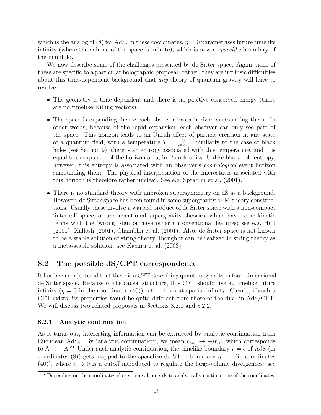which is the analog of (8) for AdS. In these coordinates,  $\eta = 0$  parametrises future timelike infinity (where the volume of the space is infinite), which is now a *spacelike* boundary of the manifold.

We now describe some of the challenges presented by de Sitter space. Again, none of these are specific to a particular holographic proposal: rather, they are intrinsic difficulties about this time-dependent background that any theory of quantum gravity will have to resolve:

- The geometry is time-dependent and there is no positive conserved energy (there are no timelike Killing vectors).
- The space is expanding, hence each observer has a horizon surrounding them. In other words, because of the rapid expansion, each observer can only see part of the space. This horizon leads to an Unruh effect of particle creation in any state of a quantum field, with a temperature  $T = \frac{\hbar c}{2\pi k}$  $\frac{\hbar c}{2\pi k_{\rm B} \ell}$ . Similarly to the case of black holes (see Section 9), there is an entropy associated with this temperature, and it is equal to one quarter of the horizon area, in Planck units. Unlike black hole entropy, however, this entropy is associated with an observer's *cosmological* event horizon surrounding them. The physical interpretation of the microstates associated with this horizon is therefore rather unclear. See e.g. Spradlin et al. (2001).
- There is no standard theory with unbroken supersymmetry on dS as a background. However, de Sitter space has been found in some supergravity or M-theory constructions. Usually these involve a warped product of de Sitter space with a non-compact 'internal' space, or unconventional supergravity theories, which have some kinetic terms with the 'wrong' sign or have other unconventional features; see e.g. Hull (2001), Kallosh (2001), Chamblin et al. (2001). Also, de Sitter space is not known to be a stable solution of string theory, though it can be realized in string theory as a meta-stable solution: see Kachru et al. (2003).

### 8.2 The possible dS/CFT correspondence

It has been conjectured that there is a CFT describing quantum gravity in four-dimensional de Sitter space. Because of the causal structure, this CFT should live at timelike future infinity  $(\eta = 0$  in the coordinates (40)) rather than at spatial infinity. Clearly, if such a CFT exists, its properties would be quite different from those of the dual in AdS/CFT. We will discuss two related proposals in Sections 8.2.1 and 8.2.2.

#### 8.2.1 Analytic continuation

As it turns out, interesting information can be extracted by analytic continuation from Euclidean AdS<sub>4</sub>. By 'analytic continuation', we mean  $\ell_{\text{AdS}} \rightarrow -i\ell_{\text{dS}}$ , which corresponds to  $\Lambda \to -\Lambda^{31}$  Under such analytic continuation, the timelike boundary  $r = \epsilon$  of AdS (in coordinates (8)) gets mapped to the spacelike de Sitter boundary  $\eta = \epsilon$  (in coordinates (40)), where  $\epsilon \to 0$  is a cutoff introduced to regulate the large-volume divergences: see

<sup>&</sup>lt;sup>31</sup>Depending on the coordinates chosen, one also needs to analytically continue one of the coordinates.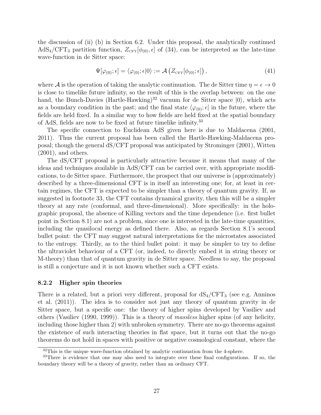the discussion of (ii) (b) in Section 6.2. Under this proposal, the analytically continued  $AdS_4/CFT_3$  partition function,  $Z_{CFT}[\phi_{(0)}, \epsilon]$  of (34), can be interpreted as the late-time wave-function in de Sitter space:

$$
\Psi[\varphi_{(0)};\epsilon] = \langle \varphi_{(0)};\epsilon|0\rangle := \mathcal{A}\left(Z_{\text{CFT}}[\phi_{(0)};\epsilon]\right),\tag{41}
$$

where A is the operation of taking the analytic continuation. The de Sitter time  $\eta = \epsilon \to 0$ is close to timelike future infinity, so the result of this is the overlap between: on the one hand, the Bunch-Davies (Hartle-Hawking)<sup>32</sup> vacuum for de Sitter space  $|0\rangle$ , which acts as a boundary condition in the past; and the final state  $\langle \varphi_{(0)}; \epsilon \rangle$  in the future, where the fields are held fixed. In a similar way to how fields are held fixed at the spatial boundary of AdS, fields are now to be fixed at future timelike infinity.<sup>33</sup>

The specific connection to Euclidean AdS given here is due to Maldacena (2001, 2011). Thus the current proposal has been called the Hartle-Hawking-Maldacena proposal; though the general dS/CFT proposal was anticipated by Strominger (2001), Witten  $(2001)$ , and others.

The dS/CFT proposal is particularly attractive because it means that many of the ideas and techniques available in AdS/CFT can be carried over, with appropriate modifications, to de Sitter space. Furthermore, the prospect that our universe is (approximately) described by a three-dimensional CFT is in itself an interesting one; for, at least in certain regimes, the CFT is expected to be simpler than a theory of quantum gravity. If, as suggested in footnote 33, the CFT contains dynamical gravity, then this will be a simpler theory at any rate (conformal, and three-dimensional). More specifically: in the holographic proposal, the absence of Killing vectors and the time dependence (i.e. first bullet point in Section 8.1) are not a problem, since one is interested in the late-time quantities, including the quasilocal energy as defined there. Also, as regards Section 8.1's second bullet point: the CFT may suggest natural interpretations for the microstates associated to the entropy. Thirdly, as to the third bullet point: it may be simpler to try to define the ultraviolet behaviour of a CFT (or, indeed, to directly embed it in string theory or M-theory) than that of quantum gravity in de Sitter space. Needless to say, the proposal is still a conjecture and it is not known whether such a CFT exists.

#### 8.2.2 Higher spin theories

There is a related, but a priori very different, proposal for  $dS_4/CFT_3$  (see e.g. Anninos et al. (2011)). The idea is to consider not just any theory of quantum gravity in de Sitter space, but a specific one: the theory of higher spins developed by Vasiliev and others (Vasiliev (1990, 1999)). This is a theory of massless higher spins (of any helicity, including those higher than 2) with unbroken symmetry. There are no-go theorems against the existence of such interacting theories in flat space, but it turns out that the no-go theorems do not hold in spaces with positive or negative cosmological constant, where the

 $32$ This is the unique wave-function obtained by analytic continuation from the 4-sphere.

<sup>&</sup>lt;sup>33</sup>There is evidence that one may also need to integrate over these final configurations. If so, the boundary theory will be a theory of gravity, rather than an ordinary CFT.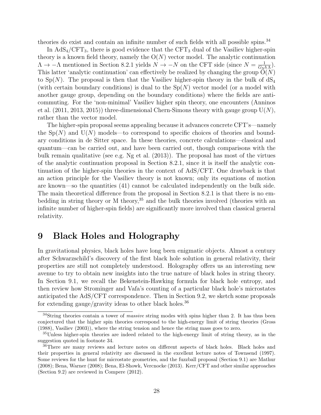theories do exist and contain an infinite number of such fields with all possible spins.<sup>34</sup>

In  $AdS_4/CFT_3$ , there is good evidence that the CFT<sub>3</sub> dual of the Vasiliev higher-spin theory is a known field theory, namely the  $O(N)$  vector model. The analytic continuation  $\Lambda \to -\Lambda$  mentioned in Section 8.2.1 yields  $N \to -N$  on the CFT side (since  $N = \frac{1}{G_N \hbar \Lambda}$ ). This latter 'analytic continuation' can effectively be realized by changing the group  $\bullet(N)$ to  $Sp(N)$ . The proposal is then that the Vasiliev higher-spin theory in the bulk of  $dS_4$ (with certain boundary conditions) is dual to the  $Sp(N)$  vector model (or a model with another gauge group, depending on the boundary conditions) where the fields are anticommuting. For the 'non-minimal' Vasiliev higher spin theory, one encounters (Anninos et al.  $(2011, 2013, 2015)$  three-dimensional Chern-Simons theory with gauge group  $U(N)$ , rather than the vector model.

The higher-spin proposal seems appealing because it advances concrete CFT's—namely the  $Sp(N)$  and  $U(N)$  models—to correspond to specific choices of theories and boundary conditions in de Sitter space. In these theories, concrete calculations—classical and quantum—can be carried out, and have been carried out, though comparisons with the bulk remain qualitative (see e.g. Ng et al. (2013)). The proposal has most of the virtues of the analytic continuation proposal in Section 8.2.1, since it is itself the analytic continuation of the higher-spin theories in the context of AdS/CFT. One drawback is that an action principle for the Vasiliev theory is not known; only its equations of motion are known—so the quantities (41) cannot be calculated independently on the bulk side. The main theoretical difference from the proposal in Section 8.2.1 is that there is no embedding in string theory or M theory,  $35$  and the bulk theories involved (theories with an infinite number of higher-spin fields) are significantly more involved than classical general relativity.

### 9 Black Holes and Holography

In gravitational physics, black holes have long been enigmatic objects. Almost a century after Schwarzschild's discovery of the first black hole solution in general relativity, their properties are still not completely understood. Holography offers us an interesting new avenue to try to obtain new insights into the true nature of black holes in string theory. In Section 9.1, we recall the Bekenstein-Hawking formula for black hole entropy, and then review how Strominger and Vafa's counting of a particular black hole's microstates anticipated the AdS/CFT correspondence. Then in Section 9.2, we sketch some proposals for extending gauge/gravity ideas to other black holes.<sup>36</sup>

 $34$ String theories contain a tower of *massive* string modes with spins higher than 2. It has thus been conjectured that the higher spin theories correspond to the high-energy limit of string theories (Gross (1988), Vasiliev (2003)), where the string tension and hence the string mass goes to zero.

<sup>35</sup>Unless higher-spin theories are indeed related to the high-energy limit of string theory, as in the suggestion quoted in footnote 34.

 $36$ There are many reviews and lecture notes on different aspects of black holes. Black holes and their properties in general relativity are discussed in the excellent lecture notes of Townsend (1997). Some reviews for the hunt for microstate geometries, and the fuzzball proposal (Section 9.1) are Mathur (2008); Bena, Warner (2008); Bena, El-Showk, Vercnocke (2013). Kerr/CFT and other similar approaches (Section 9.2) are reviewed in Compere (2012).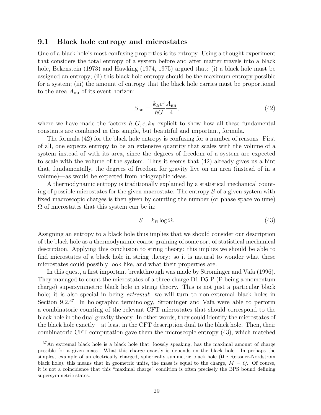#### 9.1 Black hole entropy and microstates

One of a black hole's most confusing properties is its entropy. Using a thought experiment that considers the total entropy of a system before and after matter travels into a black hole, Bekenstein (1973) and Hawking (1974, 1975) argued that: (i) a black hole must be assigned an entropy; (ii) this black hole entropy should be the maximum entropy possible for a system; (iii) the amount of entropy that the black hole carries must be proportional to the area  $A_{\text{BH}}$  of its event horizon:

$$
S_{\rm BH} = \frac{k_B c^3}{\hbar G} \frac{A_{\rm BH}}{4},\tag{42}
$$

where we have made the factors  $\hbar, G, c, k_B$  explicit to show how all these fundamental constants are combined in this simple, but beautiful and important, formula.

The formula (42) for the black hole entropy is confusing for a number of reasons. First of all, one expects entropy to be an extensive quantity that scales with the volume of a system instead of with its area, since the degrees of freedom of a system are expected to scale with the volume of the system. Thus it seems that (42) already gives us a hint that, fundamentally, the degrees of freedom for gravity live on an area (instead of in a volume)—as would be expected from holographic ideas.

A thermodynamic entropy is traditionally explained by a statistical mechanical counting of possible microstates for the given macrostate. The entropy  $S$  of a given system with fixed macroscopic charges is then given by counting the number (or phase space volume)  $\Omega$  of microstates that this system can be in:

$$
S = k_B \log \Omega. \tag{43}
$$

Assigning an entropy to a black hole thus implies that we should consider our description of the black hole as a thermodynamic coarse-graining of some sort of statistical mechanical description. Applying this conclusion to string theory: this implies we should be able to find microstates of a black hole in string theory: so it is natural to wonder what these microstates could possibly look like, and what their properties are.

In this quest, a first important breakthrough was made by Strominger and Vafa (1996). They managed to count the microstates of a three-charge D1-D5-P (P being a momentum charge) supersymmetric black hole in string theory. This is not just a particular black hole; it is also special in being *extremal*: we will turn to non-extremal black holes in Section 9.2.<sup>37</sup> In holographic terminology, Strominger and Vafa were able to perform a combinatoric counting of the relevant CFT microstates that should correspond to the black hole in the dual gravity theory. In other words, they could identify the microstates of the black hole exactly—at least in the CFT description dual to the black hole. Then, their combinatoric CFT computation gave them the microscopic entropy (43), which matched

<sup>&</sup>lt;sup>37</sup>An extremal black hole is a black hole that, loosely speaking, has the maximal amount of charge possible for a given mass. What this charge exactly is depends on the black hole. In perhaps the simplest example of an electrically charged, spherically symmetric black hole (the Reissner-Nordstrom black hole), this means that in geometric units, the mass is equal to the charge,  $M = Q$ . Of course, it is not a coincidence that this "maximal charge" condition is often precisely the BPS bound defining supersymmetric states.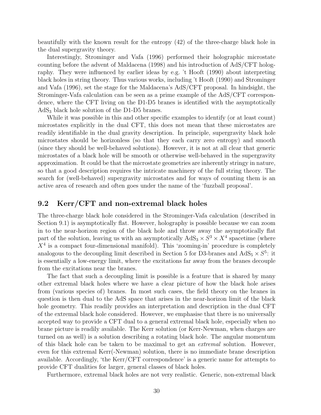beautifully with the known result for the entropy (42) of the three-charge black hole in the dual supergravity theory.

Interestingly, Strominger and Vafa (1996) performed their holographic microstate counting before the advent of Maldacena (1998) and his introduction of AdS/CFT holography. They were influenced by earlier ideas by e.g. 't Hooft (1990) about interpreting black holes in string theory. Thus various works, including 't Hooft (1990) and Strominger and Vafa (1996), set the stage for the Maldacena's AdS/CFT proposal. In hindsight, the Strominger-Vafa calculation can be seen as a prime example of the AdS/CFT correspondence, where the CFT living on the D1-D5 branes is identified with the asymptotically  $AdS<sub>3</sub>$  black hole solution of the D1-D5 branes.

While it was possible in this and other specific examples to identify (or at least count) microstates explicitly in the dual CFT, this does not mean that these microstates are readily identifiable in the dual gravity description. In principle, supergravity black hole microstates should be horizonless (so that they each carry zero entropy) and smooth (since they should be well-behaved solutions). However, it is not at all clear that generic microstates of a black hole will be smooth or otherwise well-behaved in the supergravity approximation. It could be that the microstate geometries are inherently stringy in nature, so that a good description requires the intricate machinery of the full string theory. The search for (well-behaved) supergravity microstates and for ways of counting them is an active area of research and often goes under the name of the 'fuzzball proposal'.

#### 9.2 Kerr/CFT and non-extremal black holes

The three-charge black hole considered in the Strominger-Vafa calculation (described in Section 9.1) is asymptotically flat. However, holography is possible because we can zoom in to the near-horizon region of the black hole and throw away the asymptotically flat part of the solution, leaving us with an asymptotically  $AdS_3 \times S^3 \times X^4$  spacetime (where  $X<sup>4</sup>$  is a compact four-dimensional manifold). This 'zooming-in' procedure is completely analogous to the decoupling limit described in Section 5 for D3-branes and  $AdS_5 \times S^5$ : it is essentially a low-energy limit, where the excitations far away from the branes decouple from the excitations near the branes.

The fact that such a decoupling limit is possible is a feature that is shared by many other extremal black holes where we have a clear picture of how the black hole arises from (various species of) branes. In most such cases, the field theory on the branes in question is then dual to the AdS space that arises in the near-horizon limit of the black hole geometry. This readily provides an interpretation and description in the dual CFT of the extremal black hole considered. However, we emphasise that there is no universally accepted way to provide a CFT dual to a general extremal black hole, especially when no brane picture is readily available. The Kerr solution (or Kerr-Newman, when charges are turned on as well) is a solution describing a rotating black hole. The angular momentum of this black hole can be taken to be maximal to get an extremal solution. However, even for this extremal Kerr(-Newman) solution, there is no immediate brane description available. Accordingly, 'the Kerr/CFT correspondence' is a generic name for attempts to provide CFT dualities for larger, general classes of black holes.

Furthermore, extremal black holes are not very realistic. Generic, non-extremal black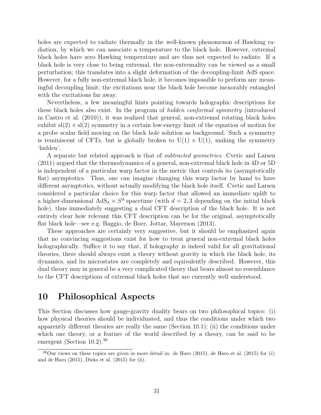holes are expected to radiate thermally in the well-known phenomenon of Hawking radiation, by which we can associate a temperature to the black hole. However, extremal black holes have zero Hawking temperature and are thus not expected to radiate. If a black hole is very close to being extremal, the non-extremality can be viewed as a small perturbation; this translates into a slight deformation of the decoupling-limit AdS space. However, for a fully non-extremal black hole, it becomes impossible to perform any meaningful decoupling limit; the excitations near the black hole become inexorably entangled with the excitations far away.

Nevertheless, a few meaningful hints pointing towards holographic descriptions for these black holes also exist. In the program of hidden conformal symmetry (introduced in Castro et al. (2010)), it was realized that general, non-extremal rotating black holes exhibit  $sl(2) \times sl(2)$  symmetry in a certain low-energy limit of the equation of motion for a probe scalar field moving on the black hole solution as background. Such a symmetry is reminiscent of CFTs, but is globally broken to  $U(1) \times U(1)$ , making the symmetry 'hidden'.

A separate but related approach is that of subtracted geometries. Cvetic and Larsen (2011) argued that the thermodynamics of a general, non-extremal black hole in 4D or 5D is independent of a particular warp factor in the metric that controls its (asymptotically flat) asymptotics. Thus, one can imagine changing this warp factor by hand to have different asymptotics, without actually modifying the black hole itself. Cvetic and Larsen considered a particular choice for this warp factor that allowed an immediate uplift to a higher-dimensional  $AdS_3 \times S^d$  spacetime (with  $d = 2, 3$  depending on the initial black hole), thus immediately suggesting a dual CFT description of the black hole. It is not entirely clear how relevant this CFT description can be for the original, asymptotically flat black hole—see e.g. Baggio, de Boer, Jottar, Mayerson (2013).

These approaches are certainly very suggestive, but it should be emphasized again that no convincing suggestions exist for how to treat general non-extremal black holes holographically. Suffice it to say that, if holography is indeed valid for all gravitational theories, there should always exist a theory without gravity in which the black hole, its dynamics, and its microstates are completely and equivalently described. However, this dual theory may in general be a very complicated theory that bears almost no resemblance to the CFT descriptions of extremal black holes that are currently well understood.

### 10 Philosophical Aspects

This Section discusses how gauge-gravity duality bears on two philosophical topics: (i) how physical theories should be individuated, and thus the conditions under which two apparently different theories are really the same (Section 10.1); (ii) the conditions under which one theory, or a feature of the world described by a theory, can be said to be emergent (Section 10.2).<sup>38</sup>

 $38$ Our views on these topics are given in more detail in: de Haro (2015), de Haro et al. (2015) for (i); and de Haro (2015), Dieks et al. (2015) for (ii).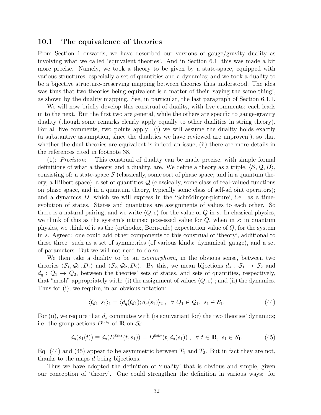#### 10.1 The equivalence of theories

From Section 1 onwards, we have described our versions of gauge/gravity duality as involving what we called 'equivalent theories'. And in Section 6.1, this was made a bit more precise. Namely, we took a theory to be given by a state-space, equipped with various structures, especially a set of quantities and a dynamics; and we took a duality to be a bijective structure-preserving mapping between theories thus understood. The idea was thus that two theories being equivalent is a matter of their 'saying the same thing', as shown by the duality mapping. See, in particular, the last paragraph of Section 6.1.1.

We will now briefly develop this construal of duality, with five comments: each leads in to the next. But the first two are general, while the others are specific to gauge-gravity duality (though some remarks clearly apply equally to other dualities in string theory). For all five comments, two points apply: (i) we will assume the duality holds exactly (a substantive assumption, since the dualities we have reviewed are unproven!), so that whether the dual theories are equivalent is indeed an issue; (ii) there are more details in the references cited in footnote 38.

(1): Precision:— This construal of duality can be made precise, with simple formal definitions of what a theory, and a duality, are. We define a theory as a triple,  $\langle \mathcal{S}, \mathcal{Q}, D \rangle$ , consisting of: a state-space  $\mathcal S$  (classically, some sort of phase space; and in a quantum theory, a Hilbert space); a set of quantities  $Q$  (classically, some class of real-valued functions on phase space, and in a quantum theory, typically some class of self-adjoint operators); and a dynamics  $D$ , which we will express in the 'Schrödinger-picture', i.e. as a timeevolution of states. States and quantities are assignments of values to each other. So there is a natural pairing, and we write  $\langle Q; s \rangle$  for the value of Q in s. In classical physics, we think of this as the system's intrinsic possessed value for  $Q$ , when in s; in quantum physics, we think of it as the (orthodox, Born-rule) expectation value of  $Q$ , for the system in s. Agreed: one could add other components to this construal of 'theory', additional to these three: such as a set of symmetries (of various kinds: dynamical, gauge), and a set of parameters. But we will not need to do so.

We then take a duality to be an *isomorphism*, in the obvious sense, between two theories  $\langle S_1, Q_1, D_1 \rangle$  and  $\langle S_2, Q_2, D_2 \rangle$ . By this, we mean bijections  $d_s : S_1 \to S_2$  and  $d_q: \mathcal{Q}_1 \to \mathcal{Q}_2$ , between the theories' sets of states, and sets of quantities, respectively, that "mesh" appropriately with: (i) the assignment of values  $\langle Q; s \rangle$ ; and (ii) the dynamics. Thus for (i), we require, in an obvious notation:

$$
\langle Q_1; s_1 \rangle_1 = \langle d_q(Q_1); d_s(s_1) \rangle_2, \quad \forall \ Q_1 \in \mathcal{Q}_1, \ s_1 \in \mathcal{S}_1. \tag{44}
$$

For (ii), we require that  $d_s$  commutes with (is equivariant for) the two theories' dynamics; i.e. the group actions  $D^{\text{Sch}_i}$  of  $\mathbb R$  on  $\mathcal{S}_i$ :

$$
d_s(s_1(t)) \equiv d_s(D^{\text{Sch}_1}(t, s_1)) = D^{\text{Sch}_2}(t, d_s(s_1)), \ \ \forall \ t \in \mathbb{R}, \ s_1 \in \mathcal{S}_1. \tag{45}
$$

Eq. (44) and (45) appear to be asymmetric between  $T_1$  and  $T_2$ . But in fact they are not, thanks to the maps d being bijections.

Thus we have adopted the definition of 'duality' that is obvious and simple, given our conception of 'theory'. One could strengthen the definition in various ways: for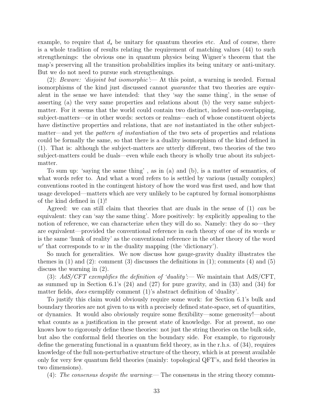example, to require that  $d_s$  be unitary for quantum theories etc. And of course, there is a whole tradition of results relating the requirement of matching values (44) to such strengthenings: the obvious one in quantum physics being Wigner's theorem that the map's preserving all the transition probabilities implies its being unitary or anti-unitary. But we do not need to pursue such strengthenings.

 $(2)$ : Beware: 'disjoint but isomorphic':  $\rightarrow$  At this point, a warning is needed. Formal isomorphisms of the kind just discussed cannot guarantee that two theories are equivalent in the sense we have intended: that they 'say the same thing', in the sense of asserting (a) the very same properties and relations about (b) the very same subjectmatter. For it seems that the world could contain two distinct, indeed non-overlapping, subject-matters—or in other words: sectors or realms—each of whose constituent objects have distinctive properties and relations, that are *not* instantiated in the other subjectmatter—and yet the *pattern of instantiation* of the two sets of properties and relations could be formally the same, so that there is a duality isomorphism of the kind defined in (1). That is: although the subject-matters are utterly different, two theories of the two subject-matters could be duals—even while each theory is wholly true about its subjectmatter.

To sum up: 'saying the same thing' , as in (a) and (b), is a matter of semantics, of what words refer to. And what a word refers to is settled by various (usually complex) conventions rooted in the contingent history of how the word was first used, and how that usage developed—matters which are very unlikely to be captured by formal isomorphisms of the kind defined in (1)!

Agreed: we can still claim that theories that are duals in the sense of  $(1)$  can be equivalent: they can 'say the same thing'. More positively: by explicitly appealing to the notion of reference, we can characterize when they will do so. Namely: they do so—they are equivalent—provided the conventional reference in each theory of one of its words  $w$ is the same 'hunk of reality' as the conventional reference in the other theory of the word  $w'$  that corresponds to  $w$  in the duality mapping (the 'dictionary').

So much for generalities. We now discuss how gauge-gravity duality illustrates the themes in  $(1)$  and  $(2)$ : comment  $(3)$  discusses the definitions in  $(1)$ ; comments  $(4)$  and  $(5)$ discuss the warning in (2).

(3): AdS/CFT exemplifies the definition of 'duality':— We maintain that  $AdS/CFT$ . as summed up in Section 6.1's (24) and (27) for pure gravity, and in (33) and (34) for matter fields, does exemplify comment (1)'s abstract definition of 'duality'.

To justify this claim would obviously require some work: for Section 6.1's bulk and boundary theories are not given to us with a precisely defined state-space, set of quantities, or dynamics. It would also obviously require some flexibility—some generosity!—about what counts as a justification in the present state of knowledge. For at present, no one knows how to rigorously define these theories: not just the string theories on the bulk side, but also the conformal field theories on the boundary side. For example, to rigorously define the generating functional in a quantum field theory, as in the r.h.s. of (34), requires knowledge of the full non-perturbative structure of the theory, which is at present available only for very few quantum field theories (mainly: topological QFT's, and field theories in two dimensions).

(4): The consensus despite the warning:— The consensus in the string theory commu-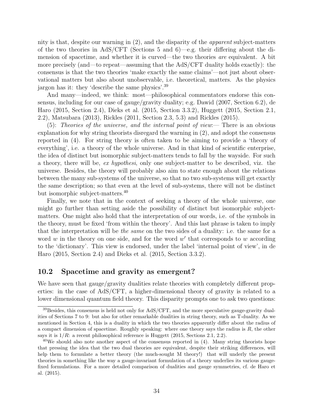nity is that, despite our warning in (2), and the disparity of the apparent subject-matters of the two theories in AdS/CFT (Sections 5 and 6)—e.g. their differing about the dimension of spacetime, and whether it is curved—the two theories are equivalent. A bit more precisely (and—to repeat—assuming that the AdS/CFT duality holds exactly): the consensus is that the two theories 'make exactly the same claims'—not just about observational matters but also about unobservable, i.e. theoretical, matters. As the physics jargon has it: they 'describe the same physics'.<sup>39</sup>

And many—indeed, we think: most—philosophical commentators endorse this consensus, including for our case of gauge/gravity duality; e.g. Dawid (2007, Section 6.2), de Haro (2015, Section 2.4), Dieks et al. (2015, Section 3.3.2), Huggett (2015, Section 2.1, 2.2), Matsubara (2013), Rickles (2011, Section 2.3, 5.3) and Rickles (2015).

 $(5)$ : Theories of the universe, and the internal point of view.— There is an obvious explanation for why string theorists disregard the warning in (2), and adopt the consensus reported in (4). For string theory is often taken to be aiming to provide a 'theory of everything', i.e. a theory of the whole universe. And in that kind of scientific enterprise, the idea of distinct but isomorphic subject-matters tends to fall by the wayside. For such a theory, there will be, ex hypothesi, only one subject-matter to be described, viz. the universe. Besides, the theory will probably also aim to state enough about the relations between the many sub-systems of the universe, so that no two sub-systems will get exactly the same description; so that even at the level of sub-systems, there will not be distinct but isomorphic subject-matters.<sup>40</sup>

Finally, we note that in the context of seeking a theory of the whole universe, one might go further than setting aside the possibility of distinct but isomorphic subjectmatters. One might also hold that the interpretation of our words, i.e. of the symbols in the theory, must be fixed 'from within the theory'. And this last phrase is taken to imply that the interpretation will be the same on the two sides of a duality: i.e. the same for a word  $w$  in the theory on one side, and for the word  $w'$  that corresponds to  $w$  according to the 'dictionary'. This view is endorsed, under the label 'internal point of view', in de Haro (2015, Section 2.4) and Dieks et al. (2015, Section 3.3.2).

#### 10.2 Spacetime and gravity as emergent?

We have seen that gauge/gravity dualities relate theories with completely different properties: in the case of AdS/CFT, a higher-dimensional theory of gravity is related to a lower dimensional quantum field theory. This disparity prompts one to ask two questions:

<sup>39</sup>Besides, this consensus is held not only for AdS/CFT, and the more speculative gauge-gravity dualities of Sections 7 to 9: but also for other remarkable dualities in string theory, such as T-duality. As we mentioned in Section 4, this is a duality in which the two theories apparently differ about the radius of a compact dimension of spacetime. Roughly speaking: where one theory says the radius is  $R$ , the other says it is  $1/R$ : a recent philosophical reference is Huggett (2015, Sections 2.1, 2.2).

 $^{40}$ We should also note another aspect of the consensus reported in (4). Many string theorists hope that pressing the idea that the two dual theories are equivalent, despite their striking differences, will help them to formulate a better theory (the much-sought M theory!) that will underly the present theories in something like the way a gauge-invariant formulation of a theory underlies its various gaugefixed formulations. For a more detailed comparison of dualities and gauge symmetries, cf. de Haro et al. (2015).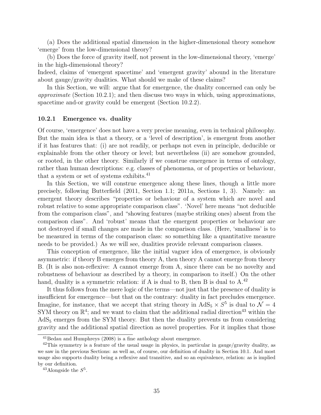(a) Does the additional spatial dimension in the higher-dimensional theory somehow 'emerge' from the low-dimensional theory?

(b) Does the force of gravity itself, not present in the low-dimensional theory, 'emerge' in the high-dimensional theory?

Indeed, claims of 'emergent spacetime' and 'emergent gravity' abound in the literature about gauge/gravity dualities. What should we make of these claims?

In this Section, we will: argue that for emergence, the duality concerned can only be approximate (Section 10.2.1); and then discuss two ways in which, using approximations, spacetime and-or gravity could be emergent (Section 10.2.2).

#### 10.2.1 Emergence vs. duality

Of course, 'emergence' does not have a very precise meaning, even in technical philosophy. But the main idea is that a theory, or a 'level of description', is emergent from another if it has features that: (i) are not readily, or perhaps not even in principle, deducible or explainable from the other theory or level; but nevertheless (ii) are somehow grounded, or rooted, in the other theory. Similarly if we construe emergence in terms of ontology, rather than human descriptions: e.g. classes of phenomena, or of properties or behaviour, that a system or set of systems exhibits.<sup>41</sup>

In this Section, we will construe emergence along these lines, though a little more precisely, following Butterfield (2011, Section 1.1; 2011a, Sections 1, 3). Namely: an emergent theory describes "properties or behaviour of a system which are novel and robust relative to some appropriate comparison class". 'Novel' here means "not deducible from the comparison class", and "showing features (maybe striking ones) absent from the comparison class". And 'robust' means that the emergent properties or behaviour are not destroyed if small changes are made in the comparison class. (Here, 'smallness' is to be measured in terms of the comparison class: so something like a quantitative measure needs to be provided.) As we will see, dualities provide relevant comparison classes.

This conception of emergence, like the initial vaguer idea of emergence, is obviously asymmetric: if theory B emerges from theory A, then theory A cannot emerge from theory B. (It is also non-reflexive: A cannot emerge from A, since there can be no novelty and robustness of behaviour as described by a theory, in comparison to itself.) On the other hand, duality is a symmetric relation: if A is dual to B, then B is dual to  $A^{42}$ 

It thus follows from the mere logic of the terms—not just that the presence of duality is insufficient for emergence—but that on the contrary: duality in fact precludes emergence. Imagine, for instance, that we accept that string theory in  $AdS_5 \times S^5$  is dual to  $\mathcal{N} = 4$ SYM theory on  $\mathbb{R}^4$ ; and we want to claim that the additional radial direction<sup>43</sup> within the  $AdS<sub>5</sub>$  emerges from the SYM theory. But then the duality prevents us from considering gravity and the additional spatial direction as novel properties. For it implies that those

<sup>41</sup>Bedau and Humphreys (2008) is a fine anthology about emergence.

 $^{42}$ This symmetry is a feature of the usual usage in physics, in particular in gauge/gravity duality, as we saw in the previous Sections: as well as, of course, our definition of duality in Section 10.1. And most usage also supports duality being a reflexive and transitive, and so an equivalence, relation: as is implied by our definition.

<sup>&</sup>lt;sup>43</sup>Alongside the  $S^5$ .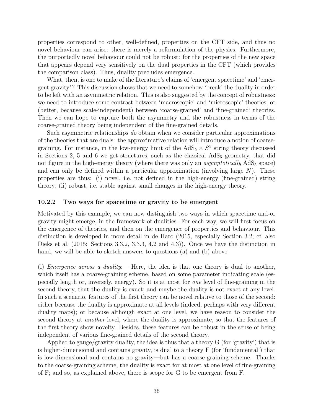properties correspond to other, well-defined, properties on the CFT side, and thus no novel behaviour can arise: there is merely a reformulation of the physics. Furthermore, the purportedly novel behaviour could not be robust: for the properties of the new space that appears depend very sensitively on the dual properties in the CFT (which provides the comparison class). Thus, duality precludes emergence.

What, then, is one to make of the literature's claims of 'emergent spacetime' and 'emergent gravity'? This discussion shows that we need to somehow 'break' the duality in order to be left with an asymmetric relation. This is also suggested by the concept of robustness: we need to introduce some contrast between 'macroscopic' and 'microscopic' theories; or (better, because scale-independent) between 'coarse-grained' and 'fine-grained' theories. Then we can hope to capture both the asymmetry and the robustness in terms of the coarse-grained theory being independent of the fine-grained details.

Such asymmetric relationships do obtain when we consider particular approximations of the theories that are duals: the approximative relation will introduce a notion of coarsegraining. For instance, in the low-energy limit of the  $AdS_5 \times S^5$  string theory discussed in Sections 2, 5 and 6 we get structures, such as the classical  $AdS<sub>5</sub>$  geometry, that did not figure in the high-energy theory (where there was only an *asymptotically*  $AdS_5$  space) and can only be defined within a particular approximation (involving large  $N$ ). These properties are thus: (i) novel, i.e. not defined in the high-energy (fine-grained) string theory; (ii) robust, i.e. stable against small changes in the high-energy theory.

#### 10.2.2 Two ways for spacetime or gravity to be emergent

Motivated by this example, we can now distinguish two ways in which spacetime and-or gravity might emerge, in the framework of dualities. For each way, we will first focus on the emergence of theories, and then on the emergence of properties and behaviour. This distinction is developed in more detail in de Haro (2015, especially Section 3.2; cf. also Dieks et al. (2015: Sections 3.3.2, 3.3.3, 4.2 and 4.3)). Once we have the distinction in hand, we will be able to sketch answers to questions (a) and (b) above.

(i) *Emergence across a duality*:— Here, the idea is that one theory is dual to another, which itself has a coarse-graining scheme, based on some parameter indicating scale (especially length or, inversely, energy). So it is at most for one level of fine-graining in the second theory, that the duality is exact; and maybe the duality is not exact at any level. In such a scenario, features of the first theory can be novel relative to those of the second: either because the duality is approximate at all levels (indeed, perhaps with very different duality maps); or because although exact at one level, we have reason to consider the second theory at another level, where the duality is approximate, so that the features of the first theory show novelty. Besides, these features can be robust in the sense of being independent of various fine-grained details of the second theory.

Applied to gauge/gravity duality, the idea is thus that a theory G (for 'gravity') that is is higher-dimensional and contains gravity, is dual to a theory F (for 'fundamental') that is low-dimensional and contains no gravity—but has a coarse-graining scheme. Thanks to the coarse-graining scheme, the duality is exact for at most at one level of fine-graining of F; and so, as explained above, there is scope for G to be emergent from F.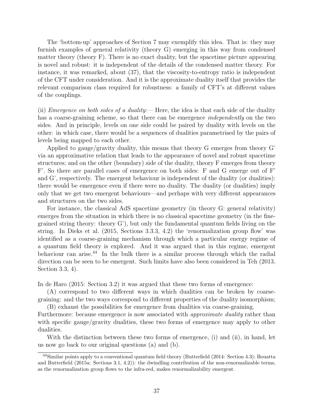The 'bottom-up' approaches of Section 7 may exemplify this idea. That is: they may furnish examples of general relativity (theory G) emerging in this way from condensed matter theory (theory F). There is no exact duality, but the spacetime picture appearing is novel and robust: it is independent of the details of the condensed matter theory. For instance, it was remarked, about (37), that the viscosity-to-entropy ratio is independent of the CFT under consideration. And it is the approximate duality itself that provides the relevant comparison class required for robustness: a family of CFT's at different values of the couplings.

(ii) *Emergence on both sides of a duality*:— Here, the idea is that each side of the duality has a coarse-graining scheme, so that there can be emergence *independently* on the two sides. And in principle, levels on one side could be paired by duality with levels on the other: in which case, there would be a sequences of dualities parametrised by the pairs of levels being mapped to each other.

Applied to gauge/gravity duality, this means that theory G emerges from theory G' via an approximative relation that leads to the appearance of novel and robust spacetime structures; and on the other (boundary) side of the duality, theory F emerges from theory F'. So there are parallel cases of emergence on both sides: F and G emerge out of F' and G', respectively. The emergent behaviour is independent of the duality (or dualities): there would be emergence even if there were no duality. The duality (or dualities) imply only that we get two emergent behaviours—and perhaps with very different appearances and structures on the two sides.

For instance, the classical AdS spacetime geometry (in theory G: general relativity) emerges from the situation in which there is no classical spacetime geometry (in the finegrained string theory: theory  $G'$ ), but only the fundamental quantum fields living on the string. In Dieks et al. (2015, Sections 3.3.3, 4.2) the 'renormalization group flow' was identified as a coarse-graining mechanism through which a particular energy regime of a quantum field theory is explored. And it was argued that in this regime, emergent behaviour can arise.<sup>44</sup> In the bulk there is a similar process through which the radial direction can be seen to be emergent. Such limits have also been considered in Teh (2013, Section 3.3, 4).

In de Haro (2015: Section 3.2) it was argued that these two forms of emergence:

(A) correspond to two different ways in which dualities can be broken by coarsegraining: and the two ways correspond to different properties of the duality isomorphism;

(B) exhaust the possibilities for emergence from dualities via coarse-graining. Furthermore: because emergence is now associated with *approximate duality* rather than with specific gauge/gravity dualities, these two forms of emergence may apply to other dualities.

With the distinction between these two forms of emergence, (i) and (ii), in hand, let us now go back to our original questions (a) and (b).

<sup>44</sup>Similar points apply to a conventional quantum field theory (Butterfield (2014: Section 4.3); Bouatta and Butterfield (2015a: Sections 3.1, 4.2)): the dwindling contribution of the non-renormalizable terms, as the renormalization group flows to the infra-red, makes renormalizability emergent.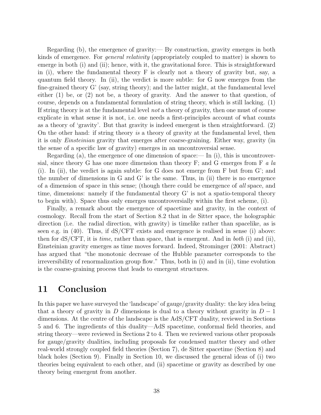Regarding (b), the emergence of gravity:— By construction, gravity emerges in both kinds of emergence. For general relativity (appropriately coupled to matter) is shown to emerge in both (i) and (ii); hence, with it, the gravitational force. This is straightforward in (i), where the fundamental theory F is clearly not a theory of gravity but, say, a quantum field theory. In (ii), the verdict is more subtle: for G now emerges from the fine-grained theory G' (say, string theory); and the latter might, at the fundamental level either (1) be, or (2) not be, a theory of gravity. And the answer to that question, of course, depends on a fundamental formulation of string theory, which is still lacking. (1) If string theory is at the fundamental level not a theory of gravity, then one must of course explicate in what sense it is not, i.e. one needs a first-principles account of what counts as a theory of 'gravity'. But that gravity is indeed emergent is then straightforward. (2) On the other hand: if string theory is a theory of gravity at the fundamental level, then it is only Einsteinian gravity that emerges after coarse-graining. Either way, gravity (in the sense of a specific law of gravity) emerges in an uncontroversial sense.

Regarding (a), the emergence of one dimension of space:— In  $(i)$ , this is uncontroversial, since theory G has one more dimension than theory  $F$ ; and G emerges from F a la (i). In (ii), the verdict is again subtle: for G does not emerge from F but from G'; and the number of dimensions in G and G' is the same. Thus, in (ii) there is no emergence of a dimension of space in this sense; (though there could be emergence of all space, and time, dimensions: namely if the fundamental theory G' is not a spatio-temporal theory to begin with). Space thus only emerges uncontroversially within the first scheme, (i).

Finally, a remark about the emergence of spacetime and gravity, in the context of cosmology. Recall from the start of Section 8.2 that in de Sitter space, the holographic direction (i.e. the radial direction, with gravity) is timelike rather than spacelike, as is seen e.g. in  $(40)$ . Thus, if  $dS/CFT$  exists and emergence is realised in sense (i) above: then for  $dS/CFT$ , it is *time*, rather than space, that is emergent. And in *both* (i) and (ii), Einsteinian gravity emerges as time moves forward. Indeed, Strominger (2001: Abstract) has argued that "the monotonic decrease of the Hubble parameter corresponds to the irreversibility of renormalization group flow." Thus, both in (i) and in (ii), time evolution is the coarse-graining process that leads to emergent structures.

## 11 Conclusion

In this paper we have surveyed the 'landscape' of gauge/gravity duality: the key idea being that a theory of gravity in D dimensions is dual to a theory without gravity in  $D-1$ dimensions. At the centre of the landscape is the AdS/CFT duality, reviewed in Sections 5 and 6. The ingredients of this duality—AdS spacetime, conformal field theories, and string theory—were reviewed in Sections 2 to 4. Then we reviewed various other proposals for gauge/gravity dualities, including proposals for condensed matter theory and other real-world strongly coupled field theories (Section 7), de Sitter spacetime (Section 8) and black holes (Section 9). Finally in Section 10, we discussed the general ideas of (i) two theories being equivalent to each other, and (ii) spacetime or gravity as described by one theory being emergent from another.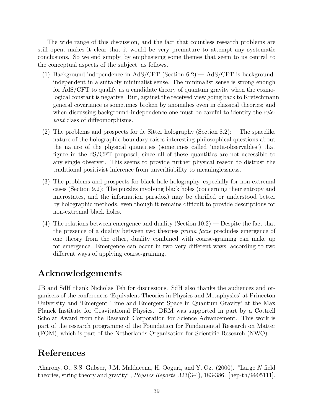The wide range of this discussion, and the fact that countless research problems are still open, makes it clear that it would be very premature to attempt any systematic conclusions. So we end simply, by emphasising some themes that seem to us central to the conceptual aspects of the subject; as follows.

- (1) Background-independence in AdS/CFT (Section 6.2):— AdS/CFT is backgroundindependent in a suitably minimalist sense. The minimalist sense is strong enough for AdS/CFT to qualify as a candidate theory of quantum gravity when the cosmological constant is negative. But, against the received view going back to Kretschmann, general covariance is sometimes broken by anomalies even in classical theories; and when discussing background-independence one must be careful to identify the relevant class of diffeomorphisms.
- (2) The problems and prospects for de Sitter holography (Section 8.2):— The spacelike nature of the holographic boundary raises interesting philosophical questions about the nature of the physical quantities (sometimes called 'meta-observables') that figure in the dS/CFT proposal, since all of these quantities are not accessible to any single observer. This seems to provide further physical reason to distrust the traditional positivist inference from unverifiability to meaninglessness.
- (3) The problems and prospects for black hole holography, especially for non-extremal cases (Section 9.2): The puzzles involving black holes (concerning their entropy and microstates, and the information paradox) may be clarified or understood better by holographic methods, even though it remains difficult to provide descriptions for non-extremal black holes.
- (4) The relations between emergence and duality (Section 10.2):— Despite the fact that the presence of a duality between two theories prima facie precludes emergence of one theory from the other, duality combined with coarse-graining can make up for emergence. Emergence can occur in two very different ways, according to two different ways of applying coarse-graining.

# Acknowledgements

JB and SdH thank Nicholas Teh for discussions. SdH also thanks the audiences and organisers of the conferences 'Equivalent Theories in Physics and Metaphysics' at Princeton University and 'Emergent Time and Emergent Space in Quantum Gravity' at the Max Planck Institute for Gravitational Physics. DRM was supported in part by a Cottrell Scholar Award from the Research Corporation for Science Advancement. This work is part of the research programme of the Foundation for Fundamental Research on Matter (FOM), which is part of the Netherlands Organisation for Scientific Research (NWO).

# References

Aharony, O., S.S. Gubser, J.M. Maldacena, H. Ooguri, and Y. Oz. (2000). "Large N field theories, string theory and gravity", Physics Reports, 323(3-4), 183-386. [hep-th/9905111].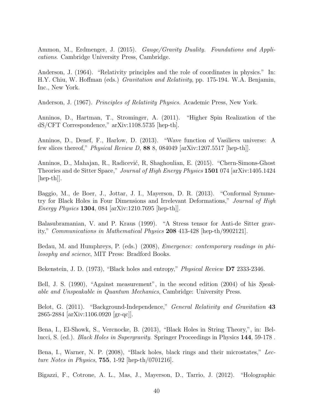Ammon, M., Erdmenger, J. (2015). Gauge/Gravity Duality. Foundations and Applications. Cambridge University Press, Cambridge.

Anderson, J. (1964). "Relativity principles and the role of coordinates in physics." In: H.Y. Chiu, W. Hoffman (eds.) Gravitation and Relativity, pp. 175-194. W.A. Benjamin, Inc., New York.

Anderson, J. (1967). Principles of Relativity Physics. Academic Press, New York.

Anninos, D., Hartman, T., Strominger, A. (2011). "Higher Spin Realization of the dS/CFT Correspondence," arXiv:1108.5735 [hep-th].

Anninos, D., Denef, F., Harlow, D. (2013). "Wave function of Vasilievs universe: A few slices thereof," *Physical Review D*, **88** 8, 084049  $\ar{\text{Xiv:1207.5517}}$  [hep-th]].

Anninos, D., Mahajan, R., Radicević, R., Shaghoulian, E. (2015). "Chern-Simons-Ghost Theories and de Sitter Space," Journal of High Energy Physics 1501 074 [arXiv:1405.1424 [hep-th]].

Baggio, M., de Boer, J., Jottar, J. I., Mayerson, D. R. (2013). "Conformal Symmetry for Black Holes in Four Dimensions and Irrelevant Deformations," Journal of High Energy Physics 1304, 084 [arXiv:1210.7695 [hep-th]].

Balasubramanian, V. and P. Kraus (1999). "A Stress tensor for Anti-de Sitter gravity," Communications in Mathematical Physics 208 413-428 [hep-th/9902121].

Bedau, M. and Humphreys, P. (eds.) (2008), Emergence: contemporary readings in philosophy and science, MIT Press: Bradford Books.

Bekenstein, J. D. (1973), "Black holes and entropy," *Physical Review* D7 2333-2346.

Bell, J. S. (1990), "Against measurement", in the second edition (2004) of his Speakable and Unspeakable in Quantum Mechanics, Cambridge: University Press.

Belot, G. (2011). "Background-Independence," *General Relativity and Gravitation* 43 2865-2884 [arXiv:1106.0920 [gr-qc]].

Bena, I., El-Showk, S., Vercnocke, B. (2013), "Black Holes in String Theory,", in: Bellucci, S. (ed.). Black Holes in Supergravity. Springer Proceedings in Physics 144, 59-178 .

Bena, I., Warner, N. P. (2008), "Black holes, black rings and their microstates," Lecture Notes in Physics, 755, 1-92 [hep-th/0701216].

Bigazzi, F., Cotrone, A. L., Mas, J., Mayerson, D., Tarrio, J. (2012). "Holographic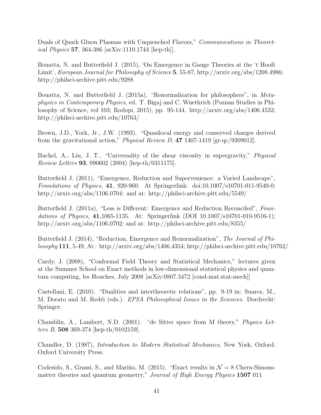Duals of Quark Gluon Plasmas with Unquenched Flavors," *Communications in Theoretical Physics* 57, 364-386  $[arXiv:1110.1744$   $[hep-th]$ .

Bouatta, N. and Butterfield J. (2015), 'On Emergence in Gauge Theories at the 't Hooft Limit', European Journal for Philosophy of Science 5, 55-87; http://arxiv.org/abs/1208.4986; http://philsci-archive.pitt.edu/9288

Bouatta, N. and Butterfield J. (2015a), "Renormalization for philosophers", in Metaphysics in Contemporary Physics, ed. T. Bigaj and C. Wuethrich (Poznan Studies in Philosophy of Science, vol 103; Rodopi, 2015), pp. 95-144. http://arxiv.org/abs/1406.4532; http://philsci-archive.pitt.edu/10763/

Brown, J.D., York, Jr., J.W. (1993). "Quasilocal energy and conserved charges derived from the gravitational action," *Physical Review D*, **47** 1407-1419 [gr-qc/9209012].

Buchel, A., Liu, J. T., "Universality of the shear viscosity in supergravity," Physical Review Letters 93, 090602 (2004) [hep-th/0311175].

Butterfield J. (2011), "Emergence, Reduction and Supervenience: a Varied Landscape", Foundations of Physics, 41, 920-960. At Springerlink: doi:10.1007/s10701-011-9549-0; http://arxiv.org/abs/1106.0704: and at: http://philsci-archive.pitt.edu/5549/

Butterfield J. (2011a), "Less is Different: Emergence and Reduction Reconciled", Foundations of Physics, 41,1065-1135. At: Springerlink (DOI 10.1007/s10701-010-9516-1); http://arxiv.org/abs/1106.0702; and at: http://philsci-archive.pitt.edu/8355/

Butterfield J. (2014), "Reduction, Emergence and Renormalization", The Journal of Philosophy 111, 5-49, At : http://arxiv.org/abs/1406.4354; http://philsci-archive.pitt.edu/10762/

Cardy, J. (2008), "Conformal Field Theory and Statistical Mechanics," lectures given at the Summer School on Exact methods in low-dimensional statistical physics and quantum computing, les Houches, July 2008 [arXiv:0807.3472 [cond-mat.stat-mech]]

Castellani, E. (2010). "Dualities and intertheoretic relations", pp. 9-19 in: Suarez, M., M. Dorato and M. Redéi (eds.). EPSA Philosophical Issues in the Sciences. Dordrecht: Springer.

Chamblin, A., Lambert, N.D. (2001). "de Sitter space from M theory," Physics Letters B, 508 369-374 [hep-th/0102159].

Chandler, D. (1987), Introduction to Modern Statistical Mechanics, New York, Oxford: Oxford University Press.

Codesido, S., Grassi, S., and Mariño, M. (2015). "Exact results in  $\mathcal{N}=8$  Chern-Simonsmatter theories and quantum geometry," Journal of High Energy Physics 1507 011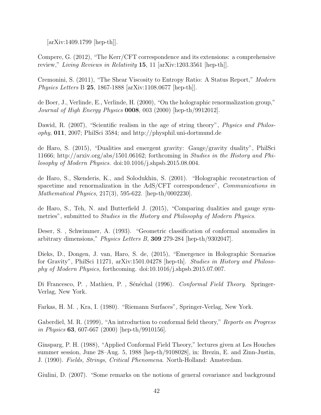[arXiv:1409.1799 [hep-th]].

Compere, G. (2012), "The Kerr/CFT correspondence and its extensions: a comprehensive review," Living Reviews in Relativity 15, 11 [arXiv:1203.3561 [hep-th]].

Cremonini, S. (2011), "The Shear Viscosity to Entropy Ratio: A Status Report," Modern Physics Letters B 25, 1867-1888 [arXiv:1108.0677 [hep-th]].

de Boer, J., Verlinde, E., Verlinde, H. (2000), "On the holographic renormalization group," Journal of High Energy Physics 0008, 003 (2000) [hep-th/9912012].

Dawid, R. (2007), "Scientific realism in the age of string theory", *Physics and Philos*ophy, 011, 2007; PhilSci 3584; and http://physphil.uni-dortmund.de

de Haro, S. (2015), "Dualities and emergent gravity: Gauge/gravity duality", PhilSci 11666; http://arxiv.org/abs/1501.06162; forthcoming in Studies in the History and Philosophy of Modern Physics. doi:10.1016/j.shpsb.2015.08.004.

de Haro, S., Skenderis, K., and Solodukhin, S. (2001). "Holographic reconstruction of spacetime and renormalization in the AdS/CFT correspondence", *Communications in* Mathematical Physics, 217(3), 595-622. [hep-th/0002230].

de Haro, S., Teh, N. and Butterfield J. (2015), "Comparing dualities and gauge symmetries", submitted to Studies in the History and Philosophy of Modern Physics.

Deser, S. , Schwimmer, A. (1993). "Geometric classification of conformal anomalies in arbitrary dimensions," Physics Letters B, 309 279-284 [hep-th/9302047].

Dieks, D., Dongen, J. van, Haro, S. de, (2015), "Emergence in Holographic Scenarios for Gravity", PhilSci 11271, arXiv:1501.04278 [hep-th]. Studies in History and Philosophy of Modern Physics, forthcoming. doi:10.1016/j.shpsb.2015.07.007.

Di Francesco, P., Mathieu, P., Sénéchal (1996). Conformal Field Theory. Springer-Verlag, New York.

Farkas, H. M. , Kra, I. (1980). "Riemann Surfaces", Springer-Verlag, New York.

Gaberdiel, M. R. (1999), "An introduction to conformal field theory," Reports on Progress in Physics 63, 607-667 (2000) [hep-th/9910156].

Ginsparg, P. H. (1988), "Applied Conformal Field Theory," lectures given at Les Houches summer session, June 28–Aug. 5, 1988 [hep-th/9108028], in: Brezin, E. and Zinn-Justin, J. (1990). Fields, Strings, Critical Phenomena. North-Holland: Amsterdam.

Giulini, D. (2007). "Some remarks on the notions of general covariance and background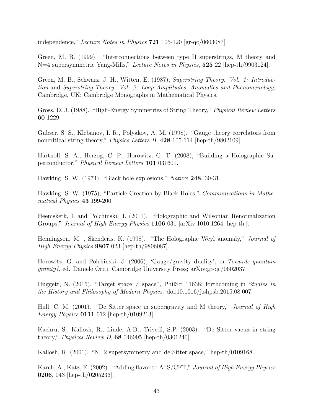independence," Lecture Notes in Physics 721 105-120 [gr-qc/0603087].

Green, M. B. (1999). "Interconnections between type II superstrings, M theory and N=4 supersymmetric Yang-Mills," Lecture Notes in Physics, 525 22 [hep-th/9903124].

Green, M. B., Schwarz, J. H., Witten, E. (1987), Superstring Theory. Vol. 1: Introduction and Superstring Theory. Vol. 2: Loop Amplitudes, Anomalies and Phenomenology, Cambridge, UK: Cambridge Monographs in Mathematical Physics.

Gross, D. J. (1988). "High-Energy Symmetries of String Theory," Physical Review Letters 60 1229.

Gubser, S. S., Klebanov, I. R., Polyakov, A. M. (1998). "Gauge theory correlators from noncritical string theory," Physics Letters B, 428 105-114 [hep-th/9802109].

Hartnoll, S. A., Herzog, C. P., Horowitz, G. T. (2008), "Building a Holographic Superconductor," Physical Review Letters 101 031601.

Hawking, S. W. (1974), "Black hole explosions," Nature 248, 30-31.

Hawking, S. W. (1975), "Particle Creation by Black Holes," Communications in Mathematical Physics 43 199-200.

Heemskerk, I. and Polchinski, J. (2011). "Holographic and Wilsonian Renormalization Groups," *Journal of High Energy Physics* 1106 031 [arXiv:1010.1264 [hep-th]].

Henningson, M., Skenderis, K. (1998). "The Holographic Weyl anomaly," *Journal of* High Energy Physics 9807 023 [hep-th/9806087].

Horowitz, G. and Polchinski, J. (2006), 'Gauge/gravity duality', in Towards quantum gravity?, ed. Daniele Oriti, Cambridge University Press; arXiv:gr-qc/0602037

Huggett, N. (2015), "Target space  $\neq$  space", PhilSci 11638; forthcoming in Studies in the History and Philosophy of Modern Physics. doi:10.1016/j.shpsb.2015.08.007.

Hull, C. M. (2001). "De Sitter space in supergravity and M theory," *Journal of High* Energy Physics 0111 012 [hep-th/0109213].

Kachru, S., Kallosh, R., Linde, A.D., Trivedi, S.P. (2003). "De Sitter vacua in string theory," Physical Review D, 68 046005 [hep-th/0301240].

Kallosh, R. (2001). "N=2 supersymmetry and de Sitter space," hep-th/0109168.

Karch, A., Katz, E. (2002). "Adding flavor to AdS/CFT," Journal of High Energy Physics 0206, 043 [hep-th/0205236].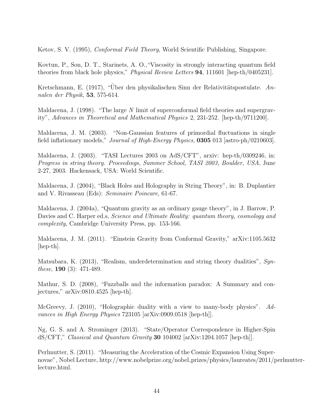Ketov, S. V. (1995), Conformal Field Theory, World Scientific Publishing, Singapore.

Kovtun, P., Son, D. T., Starinets, A. O.,"Viscosity in strongly interacting quantum field theories from black hole physics," Physical Review Letters 94, 111601 [hep-th/0405231].

Kretschmann, E. (1917), "Über den physikalischen Sinn der Relativitätspostulate.  $An$ nalen der Physik, 53, 575-614.

Maldacena, J. (1998). "The large N limit of superconformal field theories and supergravity", Advances in Theoretical and Mathematical Physics 2, 231-252. [hep-th/9711200].

Maldacena, J. M. (2003). "Non-Gaussian features of primordial fluctuations in single field inflationary models," Journal of High-Energy Physics, 0305 013 [astro-ph/0210603].

Maldacena, J. (2003). "TASI Lectures 2003 on AdS/CFT", arxiv: hep-th/0309246, in: Progress in string theory. Proceedings, Summer School, TASI 2003, Boulder, USA, June 2-27, 2003. Hackensack, USA: World Scientific.

Maldacena, J. (2004), "Black Holes and Holography in String Theory", in: B. Duplantier and V. Rivasseau (Eds): Seminaire Poincare, 61-67.

Maldacena, J. (2004a), "Quantum gravity as an ordinary gauge theory", in J. Barrow, P. Davies and C. Harper ed.s, *Science and Ultimate Reality: quantum theory, cosmology and* complexity, Cambridge University Press, pp. 153-166.

Maldacena, J. M. (2011). "Einstein Gravity from Conformal Gravity," arXiv:1105.5632 [hep-th].

Matsubara, K. (2013), "Realism, underdetermination and string theory dualities", Synthese, 190 (3): 471-489.

Mathur, S. D. (2008), "Fuzzballs and the information paradox: A Summary and conjectures," arXiv:0810.4525 [hep-th].

McGreevy, J. (2010), "Holographic duality with a view to many-body physics". Advances in High Energy Physics 723105 [arXiv:0909.0518 [hep-th]].

Ng, G. S. and A. Strominger (2013). "State/Operator Correspondence in Higher-Spin dS/CFT," Classical and Quantum Gravity 30 104002 [arXiv:1204.1057 [hep-th]].

Perlmutter, S. (2011). "Measuring the Acceleration of the Cosmic Expansion Using Supernovae", Nobel Lecture, http://www.nobelprize.org/nobel prizes/physics/laureates/2011/perlmutterlecture.html.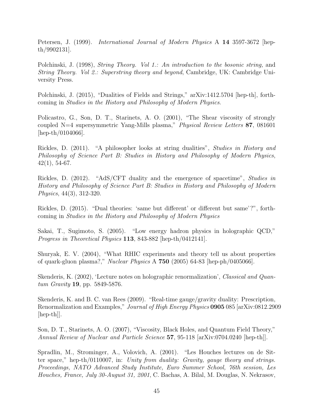Petersen, J. (1999). International Journal of Modern Physics A 14 3597-3672 [hepth/9902131].

Polchinski, J. (1998), String Theory. Vol 1.: An introduction to the bosonic string, and String Theory. Vol 2.: Superstring theory and beyond, Cambridge, UK: Cambridge University Press.

Polchinski, J. (2015), "Dualities of Fields and Strings," arXiv:1412.5704 [hep-th], forthcoming in Studies in the History and Philosophy of Modern Physics.

Policastro, G., Son, D. T., Starinets, A. O. (2001), "The Shear viscosity of strongly coupled N=4 supersymmetric Yang-Mills plasma," Physical Review Letters 87, 081601 [hep-th/0104066].

Rickles, D. (2011). "A philosopher looks at string dualities", Studies in History and Philosophy of Science Part B: Studies in History and Philosophy of Modern Physics,  $42(1), 54-67.$ 

Rickles, D. (2012). "AdS/CFT duality and the emergence of spacetime", Studies in History and Philosophy of Science Part B: Studies in History and Philosophy of Modern Physics, 44(3), 312-320.

Rickles, D. (2015). "Dual theories: 'same but different' or different but same'?", forthcoming in Studies in the History and Philosophy of Modern Physics

Sakai, T., Sugimoto, S. (2005). "Low energy hadron physics in holographic QCD," Progress in Theoretical Physics 113, 843-882 [hep-th/0412141].

Shuryak, E. V. (2004), "What RHIC experiments and theory tell us about properties of quark-gluon plasma?," Nuclear Physics A 750 (2005) 64-83 [hep-ph/0405066].

Skenderis, K. (2002), 'Lecture notes on holographic renormalization', Classical and Quantum Gravity 19, pp. 5849-5876.

Skenderis, K. and B. C. van Rees (2009). "Real-time gauge/gravity duality: Prescription, Renormalization and Examples," Journal of High Energy Physics 0905 085 [arXiv:0812.2909 [hep-th]].

Son, D. T., Starinets, A. O. (2007), "Viscosity, Black Holes, and Quantum Field Theory," Annual Review of Nuclear and Particle Science 57, 95-118 [arXiv:0704.0240 [hep-th]].

Spradlin, M., Strominger, A., Volovich, A. (2001). "Les Houches lectures on de Sitter space," hep-th/0110007, in: Unity from duality: Gravity, gauge theory and strings. Proceedings, NATO Advanced Study Institute, Euro Summer School, 76th session, Les Houches, France, July 30-August 31, 2001, C. Bachas, A. Bilal, M. Douglas, N. Nekrasov,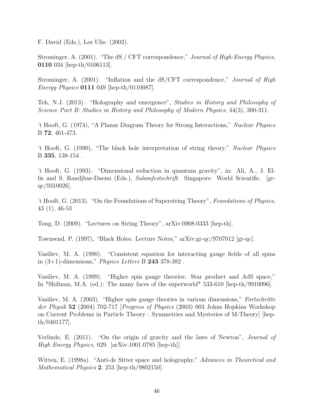F. David (Eds.), Les Ulis: (2002).

Strominger, A. (2001). "The dS / CFT correspondence," Journal of High-Energy Physics, 0110 034 [hep-th/0106113].

Strominger, A. (2001). "Inflation and the dS/CFT correspondence," Journal of High Energy Physics 0111 049 [hep-th/0110087].

Teh, N.J. (2013). "Holography and emergence", Studies in History and Philosophy of Science Part B: Studies in History and Philosophy of Modern Physics, 44(3), 300-311.

't Hooft, G. (1974), "A Planar Diagram Theory for Strong Interactions," Nuclear Physics B 72, 461-473.

't Hooft, G. (1990), "The black hole interpretation of string theory," Nuclear Physics B 335, 138-154 .

't Hooft, G. (1993). "Dimensional reduction in quantum gravity", in: Ali, A., J. Ellis and S. Randjbar-Daemi (Eds.), Salamfestschrift. Singapore: World Scientific. [grqc/9310026].

't Hooft, G. (2013). "On the Foundations of Superstring Theory", Foundations of Physics, 43 (1), 46-53

Tong, D. (2009). "Lectures on String Theory", arXiv:0908.0333 [hep-th].

Townsend, P. (1997), "Black Holes: Lecture Notes," arXiv:gr-qc/9707012 [gr-qc].

Vasiliev, M. A. (1990). "Consistent equation for interacting gauge fields of all spins in  $(3+1)$ -dimensions," *Physics Letters* B **243** 378-382.

Vasiliev, M. A. (1999). "Higher spin gauge theories: Star product and AdS space," In \*Shifman, M.A. (ed.): The many faces of the superworld\* 533-610 [hep-th/9910096].

Vasiliev, M. A. (2003). "Higher spin gauge theories in various dimensions," Fortschritte der Physik 52 (2004) 702-717 [Progress of Physics (2003) 003 Johns Hopkins Workshop on Current Problems in Particle Theory : Symmetries and Mysteries of M-Theory] [hepth/0401177].

Verlinde, E. (2011). "On the origin of gravity and the laws of Newton", Journal of High Energy Physics, 029. [arXiv:1001.0785 [hep-th]].

Witten, E. (1998a). "Anti-de Sitter space and holography," Advances in Theoretical and Mathematical Physics 2, 253 [hep-th/9802150].